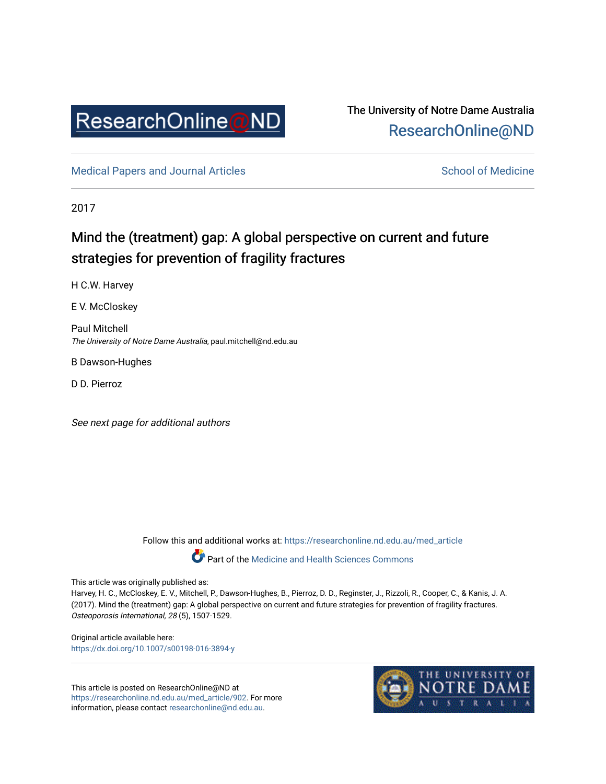

## The University of Notre Dame Australia [ResearchOnline@ND](https://researchonline.nd.edu.au/)

[Medical Papers and Journal Articles](https://researchonline.nd.edu.au/med_article) and School of Medicine

2017

# Mind the (treatment) gap: A global perspective on current and future strategies for prevention of fragility fractures

H C.W. Harvey

E V. McCloskey

Paul Mitchell The University of Notre Dame Australia, paul.mitchell@nd.edu.au

B Dawson-Hughes

D D. Pierroz

See next page for additional authors

Follow this and additional works at: [https://researchonline.nd.edu.au/med\\_article](https://researchonline.nd.edu.au/med_article?utm_source=researchonline.nd.edu.au%2Fmed_article%2F902&utm_medium=PDF&utm_campaign=PDFCoverPages) 

Part of the [Medicine and Health Sciences Commons](http://network.bepress.com/hgg/discipline/648?utm_source=researchonline.nd.edu.au%2Fmed_article%2F902&utm_medium=PDF&utm_campaign=PDFCoverPages)

This article was originally published as:

Harvey, H. C., McCloskey, E. V., Mitchell, P., Dawson-Hughes, B., Pierroz, D. D., Reginster, J., Rizzoli, R., Cooper, C., & Kanis, J. A. (2017). Mind the (treatment) gap: A global perspective on current and future strategies for prevention of fragility fractures. Osteoporosis International, 28 (5), 1507-1529.

Original article available here: <https://dx.doi.org/10.1007/s00198-016-3894-y>

This article is posted on ResearchOnline@ND at [https://researchonline.nd.edu.au/med\\_article/902](https://researchonline.nd.edu.au/med_article/902). For more information, please contact [researchonline@nd.edu.au.](mailto:researchonline@nd.edu.au)

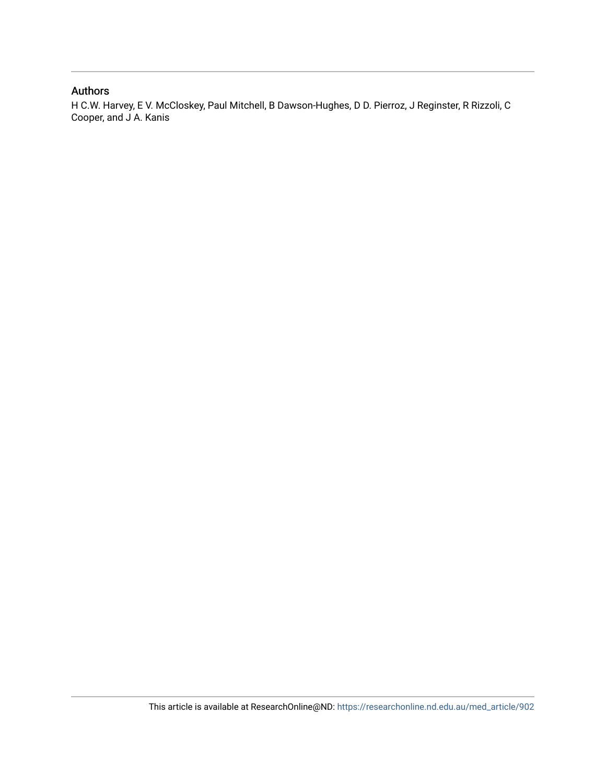### Authors

H C.W. Harvey, E V. McCloskey, Paul Mitchell, B Dawson-Hughes, D D. Pierroz, J Reginster, R Rizzoli, C Cooper, and J A. Kanis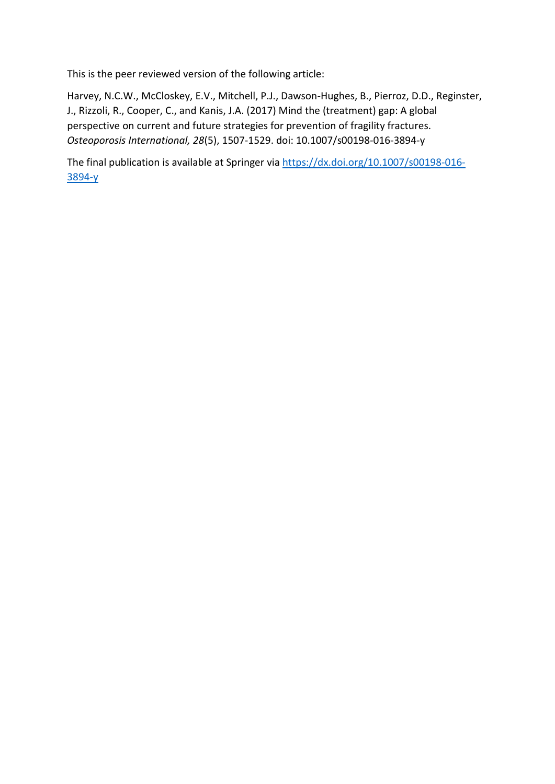This is the peer reviewed version of the following article:

Harvey, N.C.W., McCloskey, E.V., Mitchell, P.J., Dawson-Hughes, B., Pierroz, D.D., Reginster, J., Rizzoli, R., Cooper, C., and Kanis, J.A. (2017) Mind the (treatment) gap: A global perspective on current and future strategies for prevention of fragility fractures. *Osteoporosis International, 28*(5), 1507-1529. doi: 10.1007/s00198-016-3894-y

The final publication is available at Springer via [https://dx.doi.org/10.1007/s00198-016-](https://dx.doi.org/10.1007/s00198-016-3894-y) [3894-y](https://dx.doi.org/10.1007/s00198-016-3894-y)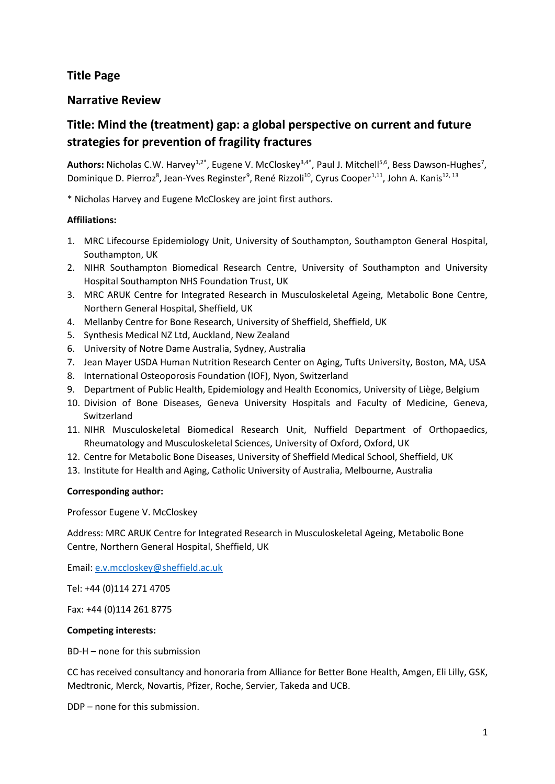## **Title Page**

## **Narrative Review**

## **Title: Mind the (treatment) gap: a global perspective on current and future strategies for prevention of fragility fractures**

Authors: Nicholas C.W. Harvey<sup>1,2\*</sup>, Eugene V. McCloskey<sup>3,4\*</sup>, Paul J. Mitchell<sup>5,6</sup>, Bess Dawson-Hughes<sup>7</sup>, Dominique D. Pierroz<sup>8</sup>, Jean-Yves Reginster<sup>9</sup>, René Rizzoli<sup>10</sup>, Cyrus Cooper<sup>1,11</sup>, John A. Kanis<sup>12, 13</sup>

\* Nicholas Harvey and Eugene McCloskey are joint first authors.

### **Affiliations:**

- 1. MRC Lifecourse Epidemiology Unit, University of Southampton, Southampton General Hospital, Southampton, UK
- 2. NIHR Southampton Biomedical Research Centre, University of Southampton and University Hospital Southampton NHS Foundation Trust, UK
- 3. MRC ARUK Centre for Integrated Research in Musculoskeletal Ageing, Metabolic Bone Centre, Northern General Hospital, Sheffield, UK
- 4. Mellanby Centre for Bone Research, University of Sheffield, Sheffield, UK
- 5. Synthesis Medical NZ Ltd, Auckland, New Zealand
- 6. University of Notre Dame Australia, Sydney, Australia
- 7. Jean Mayer USDA Human Nutrition Research Center on Aging, Tufts University, Boston, MA, USA
- 8. International Osteoporosis Foundation (IOF), Nyon, Switzerland
- 9. Department of Public Health, Epidemiology and Health Economics, University of Liège, Belgium
- 10. Division of Bone Diseases, Geneva University Hospitals and Faculty of Medicine, Geneva, Switzerland
- 11. NIHR Musculoskeletal Biomedical Research Unit, Nuffield Department of Orthopaedics, Rheumatology and Musculoskeletal Sciences, University of Oxford, Oxford, UK
- 12. Centre for Metabolic Bone Diseases, University of Sheffield Medical School, Sheffield, UK
- 13. Institute for Health and Aging, Catholic University of Australia, Melbourne, Australia

### **Corresponding author:**

Professor Eugene V. McCloskey

Address: MRC ARUK Centre for Integrated Research in Musculoskeletal Ageing, Metabolic Bone Centre, Northern General Hospital, Sheffield, UK

Email: [e.v.mccloskey@sheffield.ac.uk](mailto:e.v.mccloskey@sheffield.ac.uk)

Tel: +44 (0)114 271 4705

Fax: +44 (0)114 261 8775

### **Competing interests:**

BD-H – none for this submission

CC has received consultancy and honoraria from Alliance for Better Bone Health, Amgen, Eli Lilly, GSK, Medtronic, Merck, Novartis, Pfizer, Roche, Servier, Takeda and UCB.

DDP – none for this submission.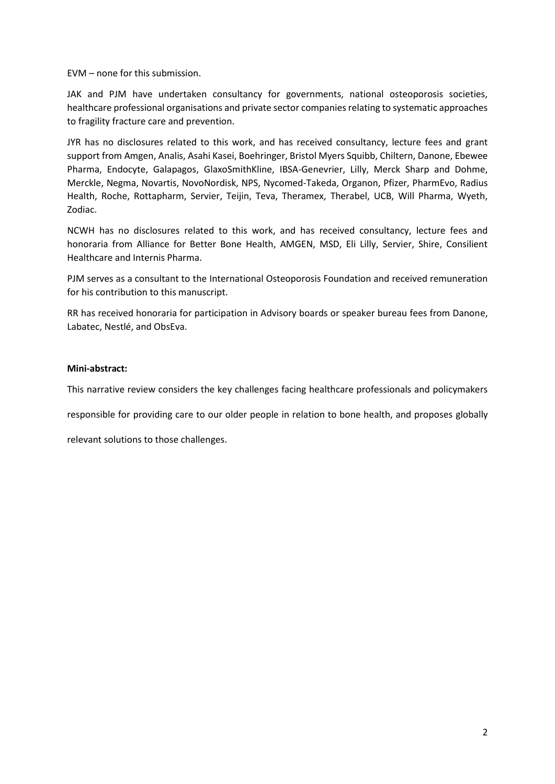EVM – none for this submission.

JAK and PJM have undertaken consultancy for governments, national osteoporosis societies, healthcare professional organisations and private sector companies relating to systematic approaches to fragility fracture care and prevention.

JYR has no disclosures related to this work, and has received consultancy, lecture fees and grant support from Amgen, Analis, Asahi Kasei, Boehringer, Bristol Myers Squibb, Chiltern, Danone, Ebewee Pharma, Endocyte, Galapagos, GlaxoSmithKline, IBSA-Genevrier, Lilly, Merck Sharp and Dohme, Merckle, Negma, Novartis, NovoNordisk, NPS, Nycomed-Takeda, Organon, Pfizer, PharmEvo, Radius Health, Roche, Rottapharm, Servier, Teijin, Teva, Theramex, Therabel, UCB, Will Pharma, Wyeth, Zodiac.

NCWH has no disclosures related to this work, and has received consultancy, lecture fees and honoraria from Alliance for Better Bone Health, AMGEN, MSD, Eli Lilly, Servier, Shire, Consilient Healthcare and Internis Pharma.

PJM serves as a consultant to the International Osteoporosis Foundation and received remuneration for his contribution to this manuscript.

RR has received honoraria for participation in Advisory boards or speaker bureau fees from Danone, Labatec, Nestlé, and ObsEva.

#### **Mini-abstract:**

This narrative review considers the key challenges facing healthcare professionals and policymakers

responsible for providing care to our older people in relation to bone health, and proposes globally

relevant solutions to those challenges.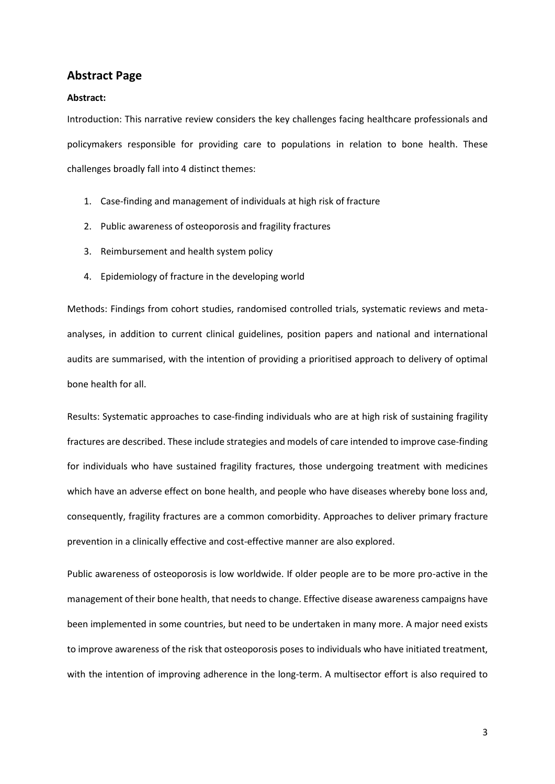#### **Abstract Page**

#### **Abstract:**

Introduction: This narrative review considers the key challenges facing healthcare professionals and policymakers responsible for providing care to populations in relation to bone health. These challenges broadly fall into 4 distinct themes:

- 1. Case-finding and management of individuals at high risk of fracture
- 2. Public awareness of osteoporosis and fragility fractures
- 3. Reimbursement and health system policy
- 4. Epidemiology of fracture in the developing world

Methods: Findings from cohort studies, randomised controlled trials, systematic reviews and metaanalyses, in addition to current clinical guidelines, position papers and national and international audits are summarised, with the intention of providing a prioritised approach to delivery of optimal bone health for all.

Results: Systematic approaches to case-finding individuals who are at high risk of sustaining fragility fractures are described. These include strategies and models of care intended to improve case-finding for individuals who have sustained fragility fractures, those undergoing treatment with medicines which have an adverse effect on bone health, and people who have diseases whereby bone loss and, consequently, fragility fractures are a common comorbidity. Approaches to deliver primary fracture prevention in a clinically effective and cost-effective manner are also explored.

Public awareness of osteoporosis is low worldwide. If older people are to be more pro-active in the management of their bone health, that needs to change. Effective disease awareness campaigns have been implemented in some countries, but need to be undertaken in many more. A major need exists to improve awareness of the risk that osteoporosis poses to individuals who have initiated treatment, with the intention of improving adherence in the long-term. A multisector effort is also required to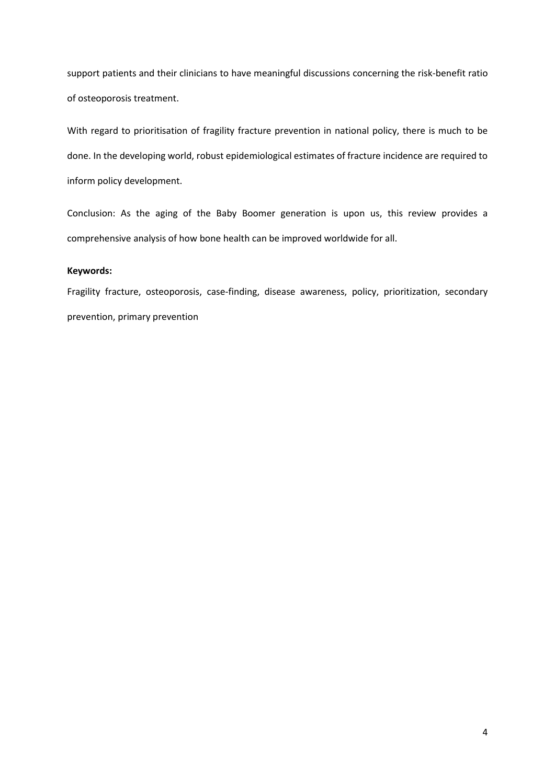support patients and their clinicians to have meaningful discussions concerning the risk-benefit ratio of osteoporosis treatment.

With regard to prioritisation of fragility fracture prevention in national policy, there is much to be done. In the developing world, robust epidemiological estimates of fracture incidence are required to inform policy development.

Conclusion: As the aging of the Baby Boomer generation is upon us, this review provides a comprehensive analysis of how bone health can be improved worldwide for all.

#### **Keywords:**

Fragility fracture, osteoporosis, case-finding, disease awareness, policy, prioritization, secondary prevention, primary prevention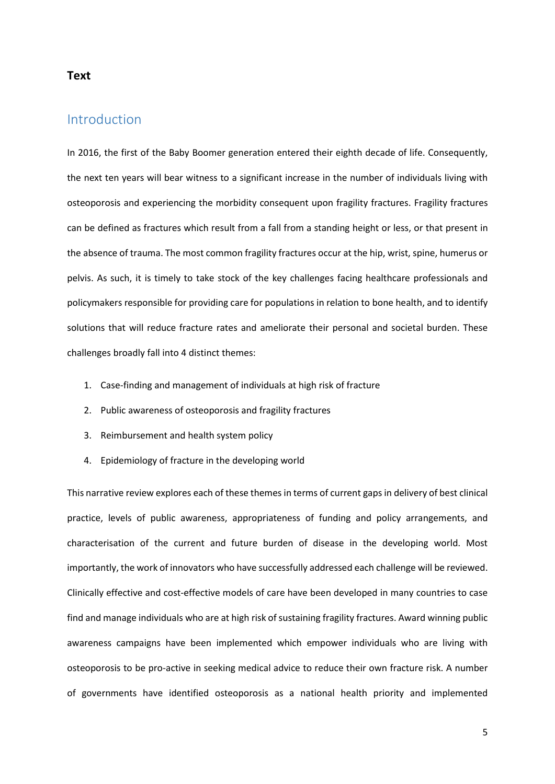#### **Text**

## Introduction

In 2016, the first of the Baby Boomer generation entered their eighth decade of life. Consequently, the next ten years will bear witness to a significant increase in the number of individuals living with osteoporosis and experiencing the morbidity consequent upon fragility fractures. Fragility fractures can be defined as fractures which result from a fall from a standing height or less, or that present in the absence of trauma. The most common fragility fractures occur at the hip, wrist, spine, humerus or pelvis. As such, it is timely to take stock of the key challenges facing healthcare professionals and policymakers responsible for providing care for populations in relation to bone health, and to identify solutions that will reduce fracture rates and ameliorate their personal and societal burden. These challenges broadly fall into 4 distinct themes:

- 1. Case-finding and management of individuals at high risk of fracture
- 2. Public awareness of osteoporosis and fragility fractures
- 3. Reimbursement and health system policy
- 4. Epidemiology of fracture in the developing world

This narrative review explores each of these themes in terms of current gaps in delivery of best clinical practice, levels of public awareness, appropriateness of funding and policy arrangements, and characterisation of the current and future burden of disease in the developing world. Most importantly, the work of innovators who have successfully addressed each challenge will be reviewed. Clinically effective and cost-effective models of care have been developed in many countries to case find and manage individuals who are at high risk of sustaining fragility fractures. Award winning public awareness campaigns have been implemented which empower individuals who are living with osteoporosis to be pro-active in seeking medical advice to reduce their own fracture risk. A number of governments have identified osteoporosis as a national health priority and implemented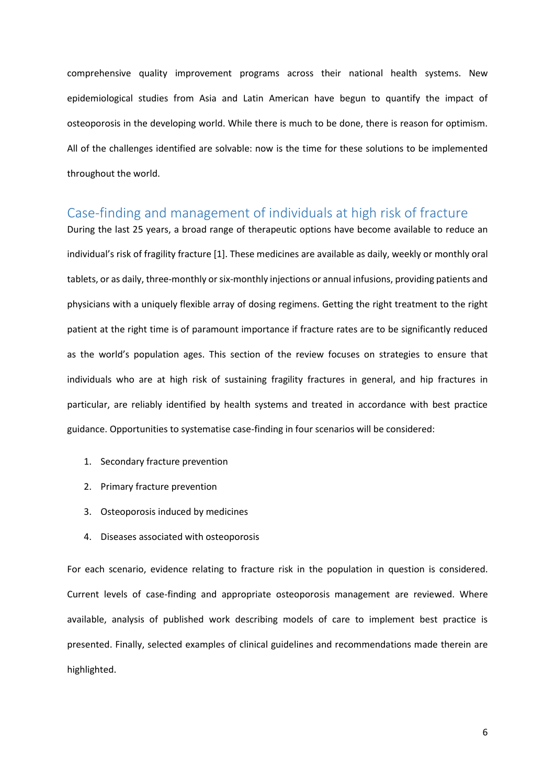comprehensive quality improvement programs across their national health systems. New epidemiological studies from Asia and Latin American have begun to quantify the impact of osteoporosis in the developing world. While there is much to be done, there is reason for optimism. All of the challenges identified are solvable: now is the time for these solutions to be implemented throughout the world.

## Case-finding and management of individuals at high risk of fracture

During the last 25 years, a broad range of therapeutic options have become available to reduce an individual's risk of fragility fracture [1]. These medicines are available as daily, weekly or monthly oral tablets, or as daily, three-monthly or six-monthly injections or annual infusions, providing patients and physicians with a uniquely flexible array of dosing regimens. Getting the right treatment to the right patient at the right time is of paramount importance if fracture rates are to be significantly reduced as the world's population ages. This section of the review focuses on strategies to ensure that individuals who are at high risk of sustaining fragility fractures in general, and hip fractures in particular, are reliably identified by health systems and treated in accordance with best practice guidance. Opportunities to systematise case-finding in four scenarios will be considered:

- 1. Secondary fracture prevention
- 2. Primary fracture prevention
- 3. Osteoporosis induced by medicines
- 4. Diseases associated with osteoporosis

For each scenario, evidence relating to fracture risk in the population in question is considered. Current levels of case-finding and appropriate osteoporosis management are reviewed. Where available, analysis of published work describing models of care to implement best practice is presented. Finally, selected examples of clinical guidelines and recommendations made therein are highlighted.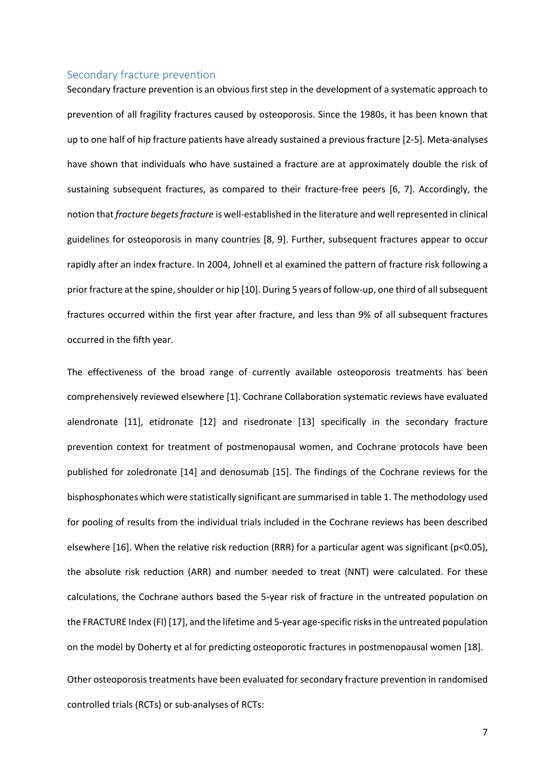#### Secondary fracture prevention

Secondary fracture prevention is an obvious first step in the development of a systematic approach to prevention of all fragility fractures caused by osteoporosis. Since the 1980s, it has been known that up to one half of hip fracture patients have already sustained a previous fracture [2-5]. Meta-analyses have shown that individuals who have sustained a fracture are at approximately double the risk of sustaining subsequent fractures, as compared to their fracture-free peers [6, 7]. Accordingly, the notion that *fracture begets fracture* is well-established in the literature and well represented in clinical guidelines for osteoporosis in many countries [8, 9]. Further, subsequent fractures appear to occur rapidly after an index fracture. In 2004, Johnell et al examined the pattern of fracture risk following a prior fracture at the spine, shoulder or hip [10]. During 5 years of follow-up, one third of all subsequent fractures occurred within the first year after fracture, and less than 9% of all subsequent fractures occurred in the fifth year.

The effectiveness of the broad range of currently available osteoporosis treatments has been comprehensively reviewed elsewhere [1]. Cochrane Collaboration systematic reviews have evaluated alendronate [11], etidronate [12] and risedronate [13] specifically in the secondary fracture prevention context for treatment of postmenopausal women, and Cochrane protocols have been published for zoledronate [14] and denosumab [15]. The findings of the Cochrane reviews for the bisphosphonates which were statistically significant are summarised in table 1. The methodology used for pooling of results from the individual trials included in the Cochrane reviews has been described elsewhere [16]. When the relative risk reduction (RRR) for a particular agent was significant ( $p$ <0.05), the absolute risk reduction (ARR) and number needed to treat (NNT) were calculated. For these calculations, the Cochrane authors based the 5-year risk of fracture in the untreated population on the FRACTURE Index (FI) [17], and the lifetime and 5-year age-specific risks in the untreated population on the model by Doherty et al for predicting osteoporotic fractures in postmenopausal women [18].

Other osteoporosis treatments have been evaluated for secondary fracture prevention in randomised controlled trials (RCTs) or sub-analyses of RCTs: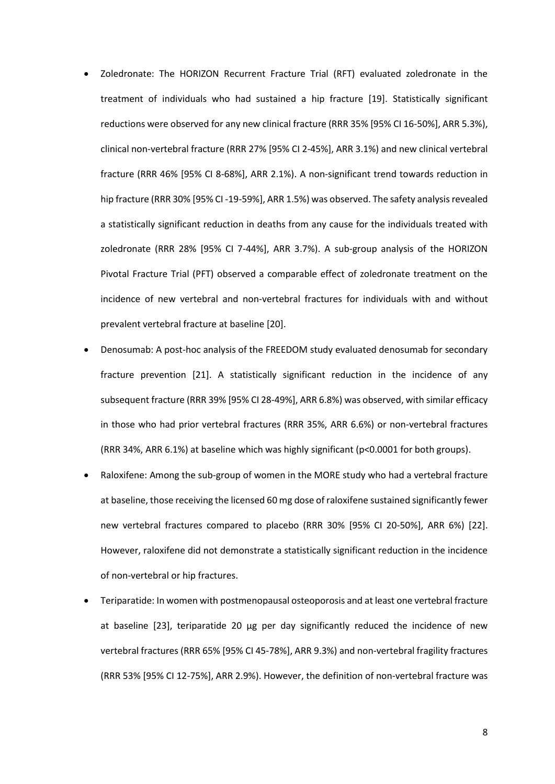- Zoledronate: The HORIZON Recurrent Fracture Trial (RFT) evaluated zoledronate in the treatment of individuals who had sustained a hip fracture [19]. Statistically significant reductions were observed for any new clinical fracture (RRR 35% [95% CI 16-50%], ARR 5.3%), clinical non-vertebral fracture (RRR 27% [95% CI 2-45%], ARR 3.1%) and new clinical vertebral fracture (RRR 46% [95% CI 8-68%], ARR 2.1%). A non-significant trend towards reduction in hip fracture (RRR 30% [95% CI -19-59%], ARR 1.5%) was observed. The safety analysis revealed a statistically significant reduction in deaths from any cause for the individuals treated with zoledronate (RRR 28% [95% CI 7-44%], ARR 3.7%). A sub-group analysis of the HORIZON Pivotal Fracture Trial (PFT) observed a comparable effect of zoledronate treatment on the incidence of new vertebral and non-vertebral fractures for individuals with and without prevalent vertebral fracture at baseline [20].
- Denosumab: A post-hoc analysis of the FREEDOM study evaluated denosumab for secondary fracture prevention [21]. A statistically significant reduction in the incidence of any subsequent fracture (RRR 39% [95% CI 28-49%], ARR 6.8%) was observed, with similar efficacy in those who had prior vertebral fractures (RRR 35%, ARR 6.6%) or non-vertebral fractures (RRR 34%, ARR 6.1%) at baseline which was highly significant (p<0.0001 for both groups).
- Raloxifene: Among the sub-group of women in the MORE study who had a vertebral fracture at baseline, those receiving the licensed 60 mg dose of raloxifene sustained significantly fewer new vertebral fractures compared to placebo (RRR 30% [95% CI 20-50%], ARR 6%) [22]. However, raloxifene did not demonstrate a statistically significant reduction in the incidence of non-vertebral or hip fractures.
- Teriparatide: In women with postmenopausal osteoporosis and at least one vertebral fracture at baseline [23], teriparatide 20  $\mu$ g per day significantly reduced the incidence of new vertebral fractures (RRR 65% [95% CI 45-78%], ARR 9.3%) and non-vertebral fragility fractures (RRR 53% [95% CI 12-75%], ARR 2.9%). However, the definition of non-vertebral fracture was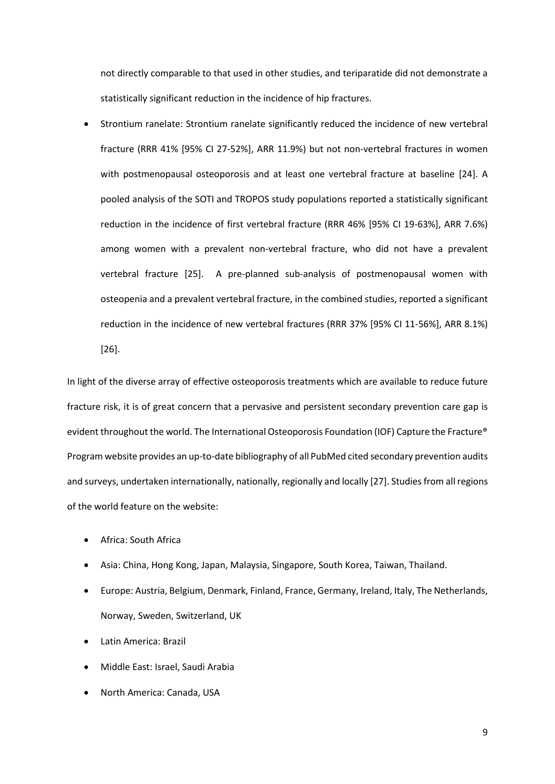not directly comparable to that used in other studies, and teriparatide did not demonstrate a statistically significant reduction in the incidence of hip fractures.

• Strontium ranelate: Strontium ranelate significantly reduced the incidence of new vertebral fracture (RRR 41% [95% CI 27-52%], ARR 11.9%) but not non-vertebral fractures in women with postmenopausal osteoporosis and at least one vertebral fracture at baseline [24]. A pooled analysis of the SOTI and TROPOS study populations reported a statistically significant reduction in the incidence of first vertebral fracture (RRR 46% [95% CI 19-63%], ARR 7.6%) among women with a prevalent non-vertebral fracture, who did not have a prevalent vertebral fracture [25]. A pre-planned sub-analysis of postmenopausal women with osteopenia and a prevalent vertebral fracture, in the combined studies, reported a significant reduction in the incidence of new vertebral fractures (RRR 37% [95% CI 11-56%], ARR 8.1%) [26].

In light of the diverse array of effective osteoporosis treatments which are available to reduce future fracture risk, it is of great concern that a pervasive and persistent secondary prevention care gap is evident throughout the world. The International Osteoporosis Foundation (IOF) Capture the Fracture® Program website provides an up-to-date bibliography of all PubMed cited secondary prevention audits and surveys, undertaken internationally, nationally, regionally and locally [27]. Studies from allregions of the world feature on the website:

- Africa: South Africa
- Asia: China, Hong Kong, Japan, Malaysia, Singapore, South Korea, Taiwan, Thailand.
- Europe: Austria, Belgium, Denmark, Finland, France, Germany, Ireland, Italy, The Netherlands, Norway, Sweden, Switzerland, UK
- Latin America: Brazil
- Middle East: Israel, Saudi Arabia
- North America: Canada, USA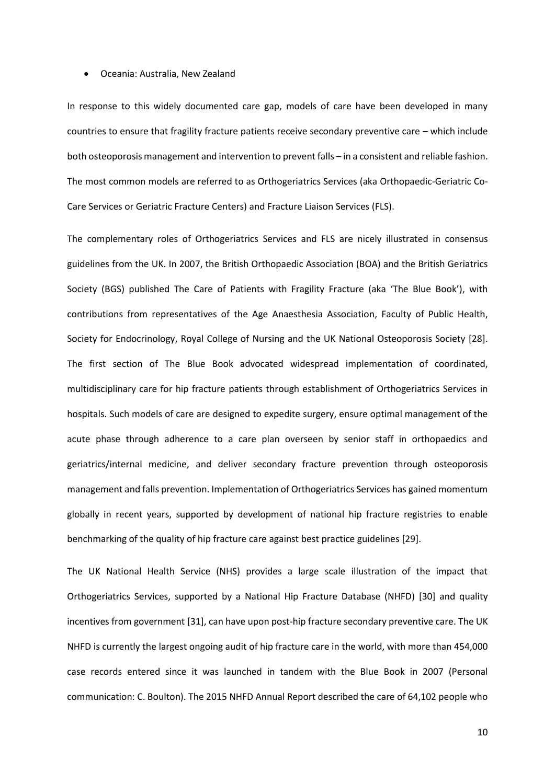#### • Oceania: Australia, New Zealand

In response to this widely documented care gap, models of care have been developed in many countries to ensure that fragility fracture patients receive secondary preventive care – which include both osteoporosis management and intervention to prevent falls – in a consistent and reliable fashion. The most common models are referred to as Orthogeriatrics Services (aka Orthopaedic-Geriatric Co-Care Services or Geriatric Fracture Centers) and Fracture Liaison Services (FLS).

The complementary roles of Orthogeriatrics Services and FLS are nicely illustrated in consensus guidelines from the UK. In 2007, the British Orthopaedic Association (BOA) and the British Geriatrics Society (BGS) published The Care of Patients with Fragility Fracture (aka 'The Blue Book'), with contributions from representatives of the Age Anaesthesia Association, Faculty of Public Health, Society for Endocrinology, Royal College of Nursing and the UK National Osteoporosis Society [28]. The first section of The Blue Book advocated widespread implementation of coordinated, multidisciplinary care for hip fracture patients through establishment of Orthogeriatrics Services in hospitals. Such models of care are designed to expedite surgery, ensure optimal management of the acute phase through adherence to a care plan overseen by senior staff in orthopaedics and geriatrics/internal medicine, and deliver secondary fracture prevention through osteoporosis management and falls prevention. Implementation of Orthogeriatrics Services has gained momentum globally in recent years, supported by development of national hip fracture registries to enable benchmarking of the quality of hip fracture care against best practice guidelines [29].

The UK National Health Service (NHS) provides a large scale illustration of the impact that Orthogeriatrics Services, supported by a National Hip Fracture Database (NHFD) [30] and quality incentives from government [31], can have upon post-hip fracture secondary preventive care. The UK NHFD is currently the largest ongoing audit of hip fracture care in the world, with more than 454,000 case records entered since it was launched in tandem with the Blue Book in 2007 (Personal communication: C. Boulton). The 2015 NHFD Annual Report described the care of 64,102 people who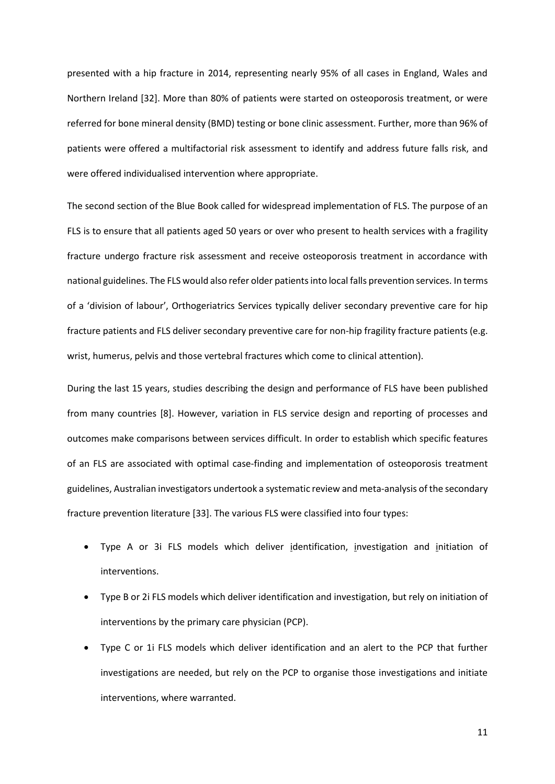presented with a hip fracture in 2014, representing nearly 95% of all cases in England, Wales and Northern Ireland [32]. More than 80% of patients were started on osteoporosis treatment, or were referred for bone mineral density (BMD) testing or bone clinic assessment. Further, more than 96% of patients were offered a multifactorial risk assessment to identify and address future falls risk, and were offered individualised intervention where appropriate.

The second section of the Blue Book called for widespread implementation of FLS. The purpose of an FLS is to ensure that all patients aged 50 years or over who present to health services with a fragility fracture undergo fracture risk assessment and receive osteoporosis treatment in accordance with national guidelines. The FLS would also refer older patients into local falls prevention services. In terms of a 'division of labour', Orthogeriatrics Services typically deliver secondary preventive care for hip fracture patients and FLS deliver secondary preventive care for non-hip fragility fracture patients (e.g. wrist, humerus, pelvis and those vertebral fractures which come to clinical attention).

During the last 15 years, studies describing the design and performance of FLS have been published from many countries [8]. However, variation in FLS service design and reporting of processes and outcomes make comparisons between services difficult. In order to establish which specific features of an FLS are associated with optimal case-finding and implementation of osteoporosis treatment guidelines, Australian investigators undertook a systematic review and meta-analysis of the secondary fracture prevention literature [33]. The various FLS were classified into four types:

- Type A or 3i FLS models which deliver identification, investigation and initiation of interventions.
- Type B or 2i FLS models which deliver identification and investigation, but rely on initiation of interventions by the primary care physician (PCP).
- Type C or 1i FLS models which deliver identification and an alert to the PCP that further investigations are needed, but rely on the PCP to organise those investigations and initiate interventions, where warranted.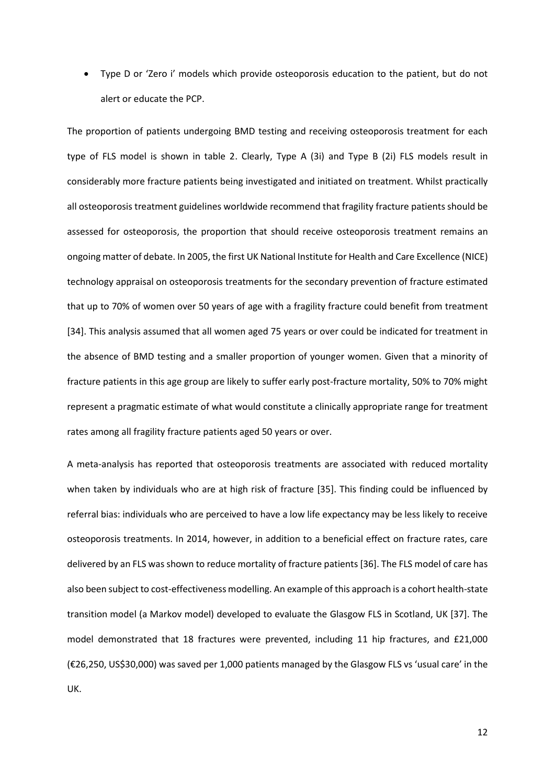• Type D or 'Zero i' models which provide osteoporosis education to the patient, but do not alert or educate the PCP.

The proportion of patients undergoing BMD testing and receiving osteoporosis treatment for each type of FLS model is shown in table 2. Clearly, Type A (3i) and Type B (2i) FLS models result in considerably more fracture patients being investigated and initiated on treatment. Whilst practically all osteoporosis treatment guidelines worldwide recommend that fragility fracture patients should be assessed for osteoporosis, the proportion that should receive osteoporosis treatment remains an ongoing matter of debate. In 2005, the first UK National Institute for Health and Care Excellence (NICE) technology appraisal on osteoporosis treatments for the secondary prevention of fracture estimated that up to 70% of women over 50 years of age with a fragility fracture could benefit from treatment [34]. This analysis assumed that all women aged 75 years or over could be indicated for treatment in the absence of BMD testing and a smaller proportion of younger women. Given that a minority of fracture patients in this age group are likely to suffer early post-fracture mortality, 50% to 70% might represent a pragmatic estimate of what would constitute a clinically appropriate range for treatment rates among all fragility fracture patients aged 50 years or over.

A meta-analysis has reported that osteoporosis treatments are associated with reduced mortality when taken by individuals who are at high risk of fracture [35]. This finding could be influenced by referral bias: individuals who are perceived to have a low life expectancy may be less likely to receive osteoporosis treatments. In 2014, however, in addition to a beneficial effect on fracture rates, care delivered by an FLS was shown to reduce mortality of fracture patients [36]. The FLS model of care has also been subject to cost-effectiveness modelling. An example of this approach is a cohort health-state transition model (a Markov model) developed to evaluate the Glasgow FLS in Scotland, UK [37]. The model demonstrated that 18 fractures were prevented, including 11 hip fractures, and £21,000 (€26,250, US\$30,000) was saved per 1,000 patients managed by the Glasgow FLS vs 'usual care' in the UK.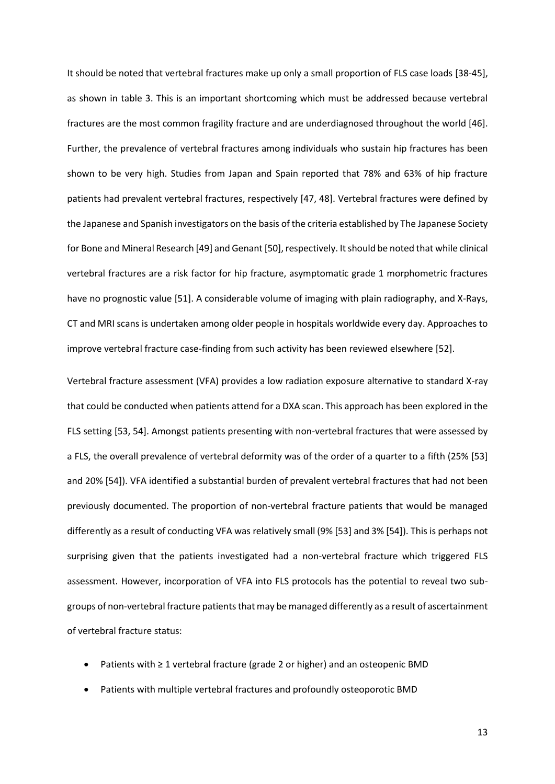It should be noted that vertebral fractures make up only a small proportion of FLS case loads [38-45], as shown in table 3. This is an important shortcoming which must be addressed because vertebral fractures are the most common fragility fracture and are underdiagnosed throughout the world [46]. Further, the prevalence of vertebral fractures among individuals who sustain hip fractures has been shown to be very high. Studies from Japan and Spain reported that 78% and 63% of hip fracture patients had prevalent vertebral fractures, respectively [47, 48]. Vertebral fractures were defined by the Japanese and Spanish investigators on the basis of the criteria established by The Japanese Society for Bone and Mineral Research [49] and Genant [50], respectively. It should be noted that while clinical vertebral fractures are a risk factor for hip fracture, asymptomatic grade 1 morphometric fractures have no prognostic value [51]. A considerable volume of imaging with plain radiography, and X-Rays, CT and MRI scans is undertaken among older people in hospitals worldwide every day. Approaches to improve vertebral fracture case-finding from such activity has been reviewed elsewhere [52].

Vertebral fracture assessment (VFA) provides a low radiation exposure alternative to standard X-ray that could be conducted when patients attend for a DXA scan. This approach has been explored in the FLS setting [53, 54]. Amongst patients presenting with non-vertebral fractures that were assessed by a FLS, the overall prevalence of vertebral deformity was of the order of a quarter to a fifth (25% [53] and 20% [54]). VFA identified a substantial burden of prevalent vertebral fractures that had not been previously documented. The proportion of non-vertebral fracture patients that would be managed differently as a result of conducting VFA was relatively small (9% [53] and 3% [54]). This is perhaps not surprising given that the patients investigated had a non-vertebral fracture which triggered FLS assessment. However, incorporation of VFA into FLS protocols has the potential to reveal two subgroups of non-vertebral fracture patients that may be managed differently as a result of ascertainment of vertebral fracture status:

- Patients with ≥ 1 vertebral fracture (grade 2 or higher) and an osteopenic BMD
- Patients with multiple vertebral fractures and profoundly osteoporotic BMD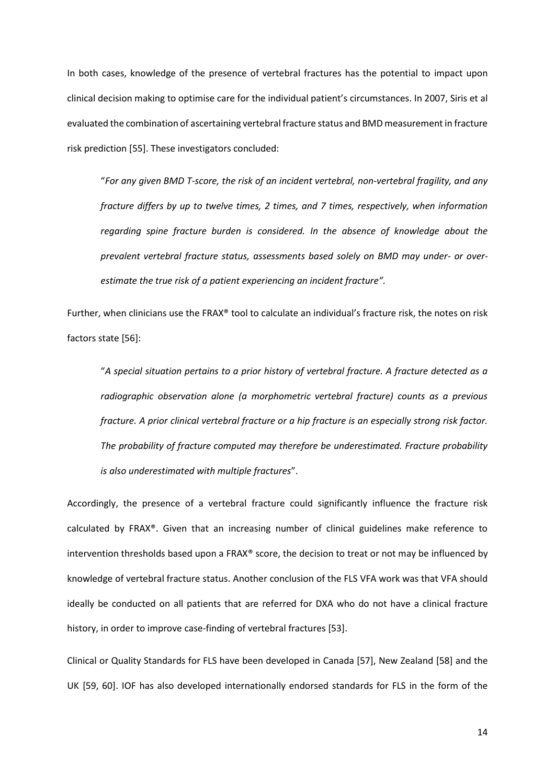In both cases, knowledge of the presence of vertebral fractures has the potential to impact upon clinical decision making to optimise care for the individual patient's circumstances. In 2007, Siris et al evaluated the combination of ascertaining vertebral fracture status and BMD measurement in fracture risk prediction [55]. These investigators concluded:

"*For any given BMD T-score, the risk of an incident vertebral, non-vertebral fragility, and any fracture differs by up to twelve times, 2 times, and 7 times, respectively, when information regarding spine fracture burden is considered. In the absence of knowledge about the prevalent vertebral fracture status, assessments based solely on BMD may under- or overestimate the true risk of a patient experiencing an incident fracture".*

Further, when clinicians use the FRAX® tool to calculate an individual's fracture risk, the notes on risk factors state [56]:

"*A special situation pertains to a prior history of vertebral fracture. A fracture detected as a radiographic observation alone (a morphometric vertebral fracture) counts as a previous fracture. A prior clinical vertebral fracture or a hip fracture is an especially strong risk factor. The probability of fracture computed may therefore be underestimated. Fracture probability is also underestimated with multiple fractures*".

Accordingly, the presence of a vertebral fracture could significantly influence the fracture risk calculated by FRAX®. Given that an increasing number of clinical guidelines make reference to intervention thresholds based upon a FRAX® score, the decision to treat or not may be influenced by knowledge of vertebral fracture status. Another conclusion of the FLS VFA work was that VFA should ideally be conducted on all patients that are referred for DXA who do not have a clinical fracture history, in order to improve case-finding of vertebral fractures [53].

Clinical or Quality Standards for FLS have been developed in Canada [57], New Zealand [58] and the UK [59, 60]. IOF has also developed internationally endorsed standards for FLS in the form of the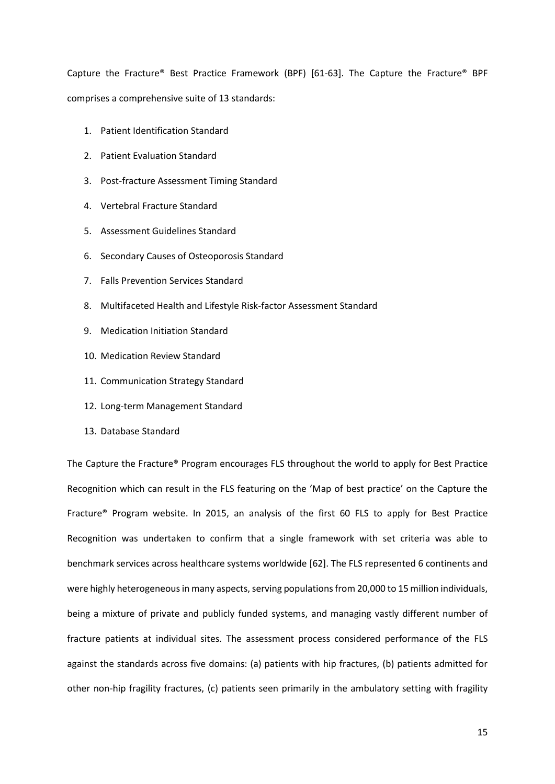Capture the Fracture® Best Practice Framework (BPF) [61-63]. The Capture the Fracture® BPF comprises a comprehensive suite of 13 standards:

- 1. Patient Identification Standard
- 2. Patient Evaluation Standard
- 3. Post-fracture Assessment Timing Standard
- 4. Vertebral Fracture Standard
- 5. Assessment Guidelines Standard
- 6. Secondary Causes of Osteoporosis Standard
- 7. Falls Prevention Services Standard
- 8. Multifaceted Health and Lifestyle Risk-factor Assessment Standard
- 9. Medication Initiation Standard
- 10. Medication Review Standard
- 11. Communication Strategy Standard
- 12. Long-term Management Standard
- 13. Database Standard

The Capture the Fracture® Program encourages FLS throughout the world to apply for Best Practice Recognition which can result in the FLS featuring on the 'Map of best practice' on the Capture the Fracture® Program website. In 2015, an analysis of the first 60 FLS to apply for Best Practice Recognition was undertaken to confirm that a single framework with set criteria was able to benchmark services across healthcare systems worldwide [62]. The FLS represented 6 continents and were highly heterogeneous in many aspects, serving populations from 20,000 to 15 million individuals, being a mixture of private and publicly funded systems, and managing vastly different number of fracture patients at individual sites. The assessment process considered performance of the FLS against the standards across five domains: (a) patients with hip fractures, (b) patients admitted for other non-hip fragility fractures, (c) patients seen primarily in the ambulatory setting with fragility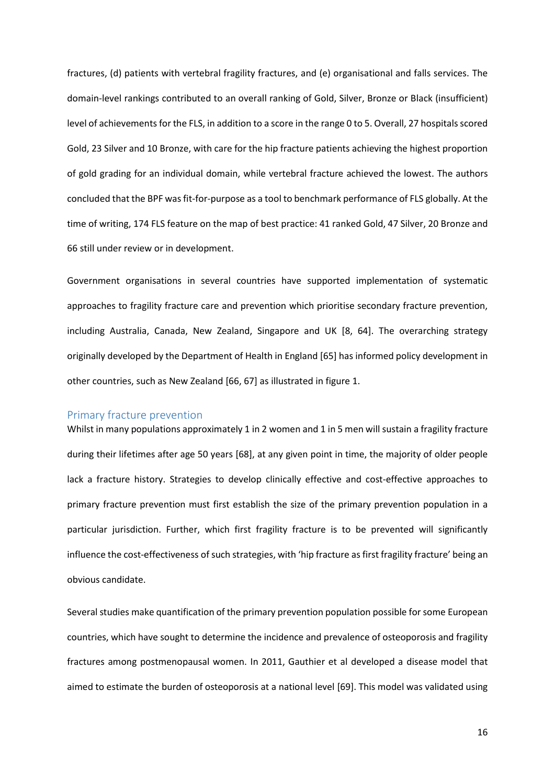fractures, (d) patients with vertebral fragility fractures, and (e) organisational and falls services. The domain-level rankings contributed to an overall ranking of Gold, Silver, Bronze or Black (insufficient) level of achievements for the FLS, in addition to a score in the range 0 to 5. Overall, 27 hospitals scored Gold, 23 Silver and 10 Bronze, with care for the hip fracture patients achieving the highest proportion of gold grading for an individual domain, while vertebral fracture achieved the lowest. The authors concluded that the BPF was fit-for-purpose as a tool to benchmark performance of FLS globally. At the time of writing, 174 FLS feature on the map of best practice: 41 ranked Gold, 47 Silver, 20 Bronze and 66 still under review or in development.

Government organisations in several countries have supported implementation of systematic approaches to fragility fracture care and prevention which prioritise secondary fracture prevention, including Australia, Canada, New Zealand, Singapore and UK [8, 64]. The overarching strategy originally developed by the Department of Health in England [65] has informed policy development in other countries, such as New Zealand [66, 67] as illustrated in figure 1.

#### Primary fracture prevention

Whilst in many populations approximately 1 in 2 women and 1 in 5 men will sustain a fragility fracture during their lifetimes after age 50 years [68], at any given point in time, the majority of older people lack a fracture history. Strategies to develop clinically effective and cost-effective approaches to primary fracture prevention must first establish the size of the primary prevention population in a particular jurisdiction. Further, which first fragility fracture is to be prevented will significantly influence the cost-effectiveness of such strategies, with 'hip fracture as first fragility fracture' being an obvious candidate.

Several studies make quantification of the primary prevention population possible for some European countries, which have sought to determine the incidence and prevalence of osteoporosis and fragility fractures among postmenopausal women. In 2011, Gauthier et al developed a disease model that aimed to estimate the burden of osteoporosis at a national level [69]. This model was validated using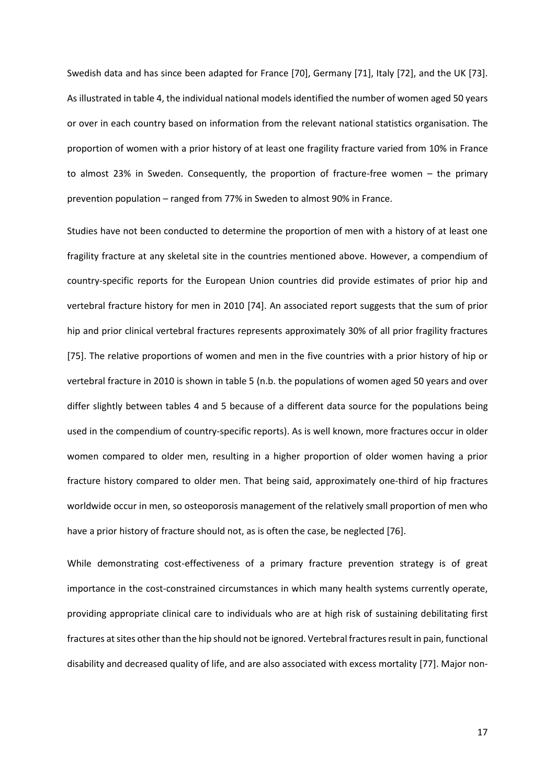Swedish data and has since been adapted for France [70], Germany [71], Italy [72], and the UK [73]. As illustrated in table 4, the individual national models identified the number of women aged 50 years or over in each country based on information from the relevant national statistics organisation. The proportion of women with a prior history of at least one fragility fracture varied from 10% in France to almost 23% in Sweden. Consequently, the proportion of fracture-free women – the primary prevention population – ranged from 77% in Sweden to almost 90% in France.

Studies have not been conducted to determine the proportion of men with a history of at least one fragility fracture at any skeletal site in the countries mentioned above. However, a compendium of country-specific reports for the European Union countries did provide estimates of prior hip and vertebral fracture history for men in 2010 [74]. An associated report suggests that the sum of prior hip and prior clinical vertebral fractures represents approximately 30% of all prior fragility fractures [75]. The relative proportions of women and men in the five countries with a prior history of hip or vertebral fracture in 2010 is shown in table 5 (n.b. the populations of women aged 50 years and over differ slightly between tables 4 and 5 because of a different data source for the populations being used in the compendium of country-specific reports). As is well known, more fractures occur in older women compared to older men, resulting in a higher proportion of older women having a prior fracture history compared to older men. That being said, approximately one-third of hip fractures worldwide occur in men, so osteoporosis management of the relatively small proportion of men who have a prior history of fracture should not, as is often the case, be neglected [76].

While demonstrating cost-effectiveness of a primary fracture prevention strategy is of great importance in the cost-constrained circumstances in which many health systems currently operate, providing appropriate clinical care to individuals who are at high risk of sustaining debilitating first fractures at sites other than the hip should not be ignored. Vertebral fractures result in pain, functional disability and decreased quality of life, and are also associated with excess mortality [77]. Major non-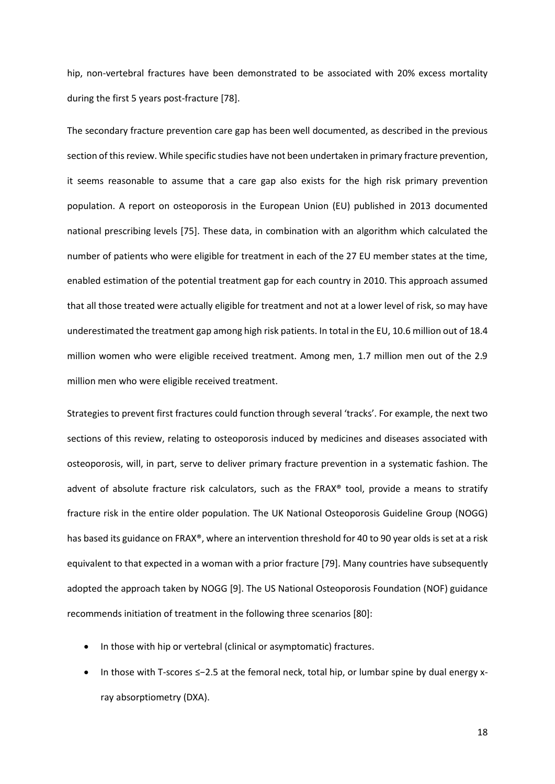hip, non-vertebral fractures have been demonstrated to be associated with 20% excess mortality during the first 5 years post-fracture [78].

The secondary fracture prevention care gap has been well documented, as described in the previous section of this review. While specific studies have not been undertaken in primary fracture prevention, it seems reasonable to assume that a care gap also exists for the high risk primary prevention population. A report on osteoporosis in the European Union (EU) published in 2013 documented national prescribing levels [75]. These data, in combination with an algorithm which calculated the number of patients who were eligible for treatment in each of the 27 EU member states at the time, enabled estimation of the potential treatment gap for each country in 2010. This approach assumed that all those treated were actually eligible for treatment and not at a lower level of risk, so may have underestimated the treatment gap among high risk patients. In total in the EU, 10.6 million out of 18.4 million women who were eligible received treatment. Among men, 1.7 million men out of the 2.9 million men who were eligible received treatment.

Strategies to prevent first fractures could function through several 'tracks'. For example, the next two sections of this review, relating to osteoporosis induced by medicines and diseases associated with osteoporosis, will, in part, serve to deliver primary fracture prevention in a systematic fashion. The advent of absolute fracture risk calculators, such as the FRAX® tool, provide a means to stratify fracture risk in the entire older population. The UK National Osteoporosis Guideline Group (NOGG) has based its guidance on FRAX®, where an intervention threshold for 40 to 90 year olds is set at a risk equivalent to that expected in a woman with a prior fracture [79]. Many countries have subsequently adopted the approach taken by NOGG [9]. The US National Osteoporosis Foundation (NOF) guidance recommends initiation of treatment in the following three scenarios [80]:

- In those with hip or vertebral (clinical or asymptomatic) fractures.
- In those with T-scores ≤−2.5 at the femoral neck, total hip, or lumbar spine by dual energy xray absorptiometry (DXA).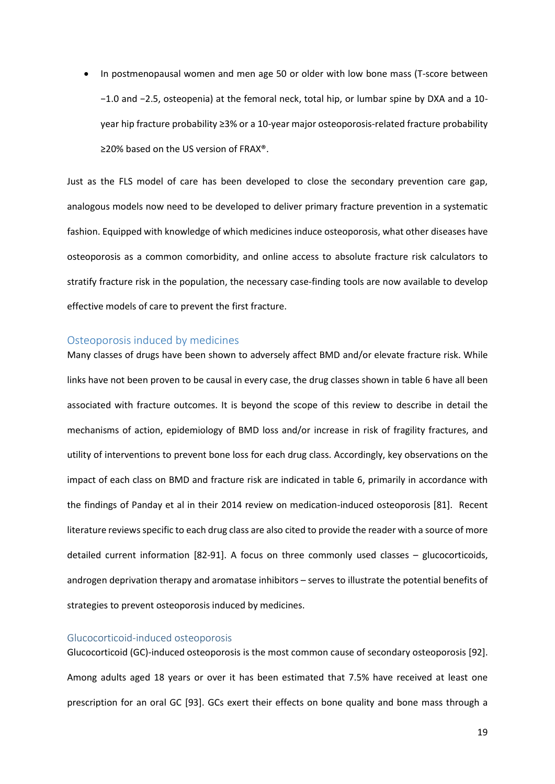• In postmenopausal women and men age 50 or older with low bone mass (T-score between −1.0 and −2.5, osteopenia) at the femoral neck, total hip, or lumbar spine by DXA and a 10 year hip fracture probability ≥3% or a 10-year major osteoporosis-related fracture probability ≥20% based on the US version of FRAX®.

Just as the FLS model of care has been developed to close the secondary prevention care gap, analogous models now need to be developed to deliver primary fracture prevention in a systematic fashion. Equipped with knowledge of which medicines induce osteoporosis, what other diseases have osteoporosis as a common comorbidity, and online access to absolute fracture risk calculators to stratify fracture risk in the population, the necessary case-finding tools are now available to develop effective models of care to prevent the first fracture.

#### Osteoporosis induced by medicines

Many classes of drugs have been shown to adversely affect BMD and/or elevate fracture risk. While links have not been proven to be causal in every case, the drug classes shown in table 6 have all been associated with fracture outcomes. It is beyond the scope of this review to describe in detail the mechanisms of action, epidemiology of BMD loss and/or increase in risk of fragility fractures, and utility of interventions to prevent bone loss for each drug class. Accordingly, key observations on the impact of each class on BMD and fracture risk are indicated in table 6, primarily in accordance with the findings of Panday et al in their 2014 review on medication-induced osteoporosis [81]. Recent literature reviews specific to each drug class are also cited to provide the reader with a source of more detailed current information [82-91]. A focus on three commonly used classes – glucocorticoids, androgen deprivation therapy and aromatase inhibitors – serves to illustrate the potential benefits of strategies to prevent osteoporosis induced by medicines.

#### Glucocorticoid-induced osteoporosis

Glucocorticoid (GC)-induced osteoporosis is the most common cause of secondary osteoporosis [92]. Among adults aged 18 years or over it has been estimated that 7.5% have received at least one prescription for an oral GC [93]. GCs exert their effects on bone quality and bone mass through a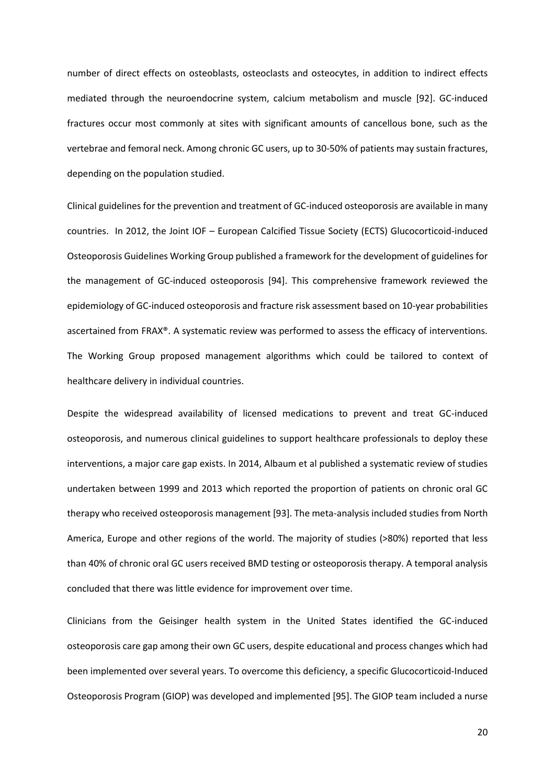number of direct effects on osteoblasts, osteoclasts and osteocytes, in addition to indirect effects mediated through the neuroendocrine system, calcium metabolism and muscle [92]. GC-induced fractures occur most commonly at sites with significant amounts of cancellous bone, such as the vertebrae and femoral neck. Among chronic GC users, up to 30-50% of patients may sustain fractures, depending on the population studied.

Clinical guidelines for the prevention and treatment of GC-induced osteoporosis are available in many countries. In 2012, the Joint IOF – European Calcified Tissue Society (ECTS) Glucocorticoid-induced Osteoporosis Guidelines Working Group published a framework for the development of guidelines for the management of GC-induced osteoporosis [94]. This comprehensive framework reviewed the epidemiology of GC-induced osteoporosis and fracture risk assessment based on 10-year probabilities ascertained from FRAX®. A systematic review was performed to assess the efficacy of interventions. The Working Group proposed management algorithms which could be tailored to context of healthcare delivery in individual countries.

Despite the widespread availability of licensed medications to prevent and treat GC-induced osteoporosis, and numerous clinical guidelines to support healthcare professionals to deploy these interventions, a major care gap exists. In 2014, Albaum et al published a systematic review of studies undertaken between 1999 and 2013 which reported the proportion of patients on chronic oral GC therapy who received osteoporosis management [93]. The meta-analysis included studies from North America, Europe and other regions of the world. The majority of studies (>80%) reported that less than 40% of chronic oral GC users received BMD testing or osteoporosis therapy. A temporal analysis concluded that there was little evidence for improvement over time.

Clinicians from the Geisinger health system in the United States identified the GC-induced osteoporosis care gap among their own GC users, despite educational and process changes which had been implemented over several years. To overcome this deficiency, a specific Glucocorticoid-Induced Osteoporosis Program (GIOP) was developed and implemented [95]. The GIOP team included a nurse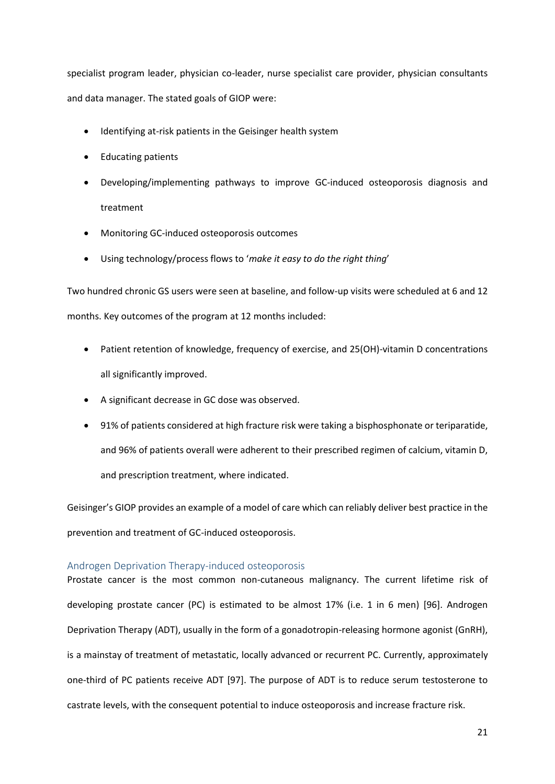specialist program leader, physician co-leader, nurse specialist care provider, physician consultants and data manager. The stated goals of GIOP were:

- Identifying at-risk patients in the Geisinger health system
- Educating patients
- Developing/implementing pathways to improve GC-induced osteoporosis diagnosis and treatment
- Monitoring GC-induced osteoporosis outcomes
- Using technology/process flows to '*make it easy to do the right thing*'

Two hundred chronic GS users were seen at baseline, and follow-up visits were scheduled at 6 and 12 months. Key outcomes of the program at 12 months included:

- Patient retention of knowledge, frequency of exercise, and 25(OH)-vitamin D concentrations all significantly improved.
- A significant decrease in GC dose was observed.
- 91% of patients considered at high fracture risk were taking a bisphosphonate or teriparatide, and 96% of patients overall were adherent to their prescribed regimen of calcium, vitamin D, and prescription treatment, where indicated.

Geisinger's GIOP provides an example of a model of care which can reliably deliver best practice in the prevention and treatment of GC-induced osteoporosis.

#### Androgen Deprivation Therapy-induced osteoporosis

Prostate cancer is the most common non-cutaneous malignancy. The current lifetime risk of developing prostate cancer (PC) is estimated to be almost 17% (i.e. 1 in 6 men) [96]. Androgen Deprivation Therapy (ADT), usually in the form of a gonadotropin-releasing hormone agonist (GnRH), is a mainstay of treatment of metastatic, locally advanced or recurrent PC. Currently, approximately one-third of PC patients receive ADT [97]. The purpose of ADT is to reduce serum testosterone to castrate levels, with the consequent potential to induce osteoporosis and increase fracture risk.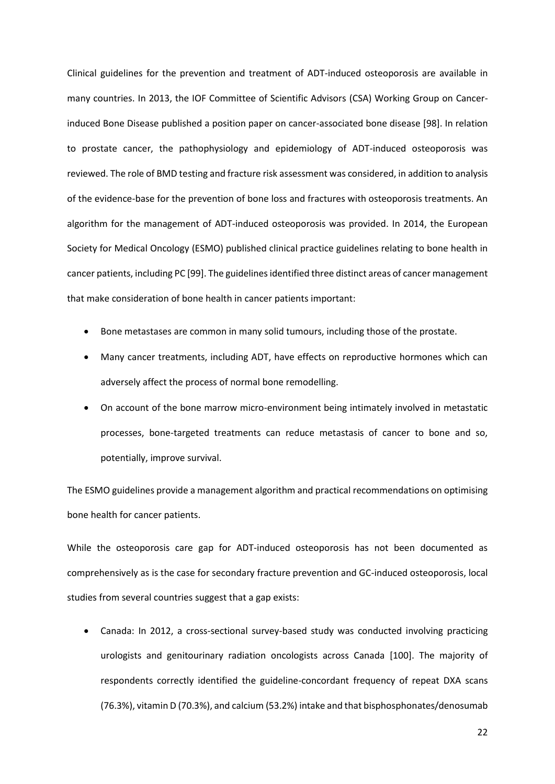Clinical guidelines for the prevention and treatment of ADT-induced osteoporosis are available in many countries. In 2013, the IOF Committee of Scientific Advisors (CSA) Working Group on Cancerinduced Bone Disease published a position paper on cancer-associated bone disease [98]. In relation to prostate cancer, the pathophysiology and epidemiology of ADT-induced osteoporosis was reviewed. The role of BMD testing and fracture risk assessment was considered, in addition to analysis of the evidence-base for the prevention of bone loss and fractures with osteoporosis treatments. An algorithm for the management of ADT-induced osteoporosis was provided. In 2014, the European Society for Medical Oncology (ESMO) published clinical practice guidelines relating to bone health in cancer patients, including PC [99]. The guidelines identified three distinct areas of cancer management that make consideration of bone health in cancer patients important:

- Bone metastases are common in many solid tumours, including those of the prostate.
- Many cancer treatments, including ADT, have effects on reproductive hormones which can adversely affect the process of normal bone remodelling.
- On account of the bone marrow micro-environment being intimately involved in metastatic processes, bone-targeted treatments can reduce metastasis of cancer to bone and so, potentially, improve survival.

The ESMO guidelines provide a management algorithm and practical recommendations on optimising bone health for cancer patients.

While the osteoporosis care gap for ADT-induced osteoporosis has not been documented as comprehensively as is the case for secondary fracture prevention and GC-induced osteoporosis, local studies from several countries suggest that a gap exists:

• Canada: In 2012, a cross-sectional survey-based study was conducted involving practicing urologists and genitourinary radiation oncologists across Canada [100]. The majority of respondents correctly identified the guideline-concordant frequency of repeat DXA scans (76.3%), vitamin D (70.3%), and calcium (53.2%) intake and that bisphosphonates/denosumab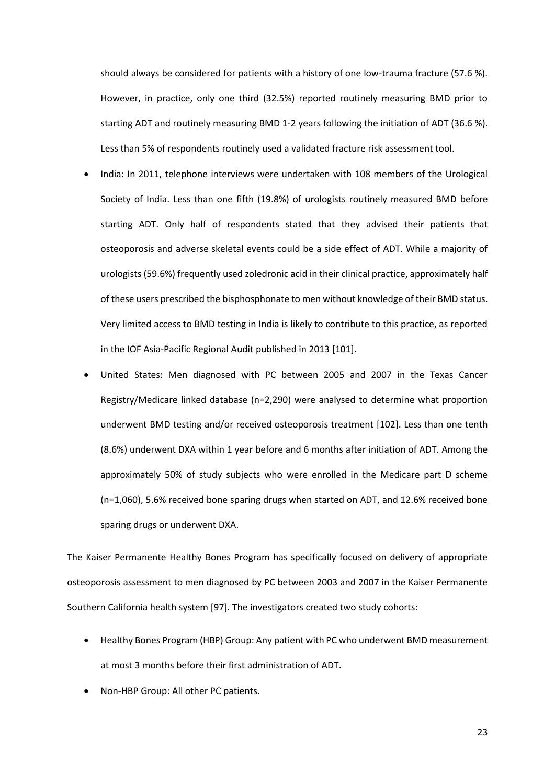should always be considered for patients with a history of one low-trauma fracture (57.6 %). However, in practice, only one third (32.5%) reported routinely measuring BMD prior to starting ADT and routinely measuring BMD 1-2 years following the initiation of ADT (36.6 %). Less than 5% of respondents routinely used a validated fracture risk assessment tool.

- India: In 2011, telephone interviews were undertaken with 108 members of the Urological Society of India. Less than one fifth (19.8%) of urologists routinely measured BMD before starting ADT. Only half of respondents stated that they advised their patients that osteoporosis and adverse skeletal events could be a side effect of ADT. While a majority of urologists (59.6%) frequently used zoledronic acid in their clinical practice, approximately half of these users prescribed the bisphosphonate to men without knowledge of their BMD status. Very limited access to BMD testing in India is likely to contribute to this practice, as reported in the IOF Asia-Pacific Regional Audit published in 2013 [101].
- United States: Men diagnosed with PC between 2005 and 2007 in the Texas Cancer Registry/Medicare linked database (n=2,290) were analysed to determine what proportion underwent BMD testing and/or received osteoporosis treatment [102]. Less than one tenth (8.6%) underwent DXA within 1 year before and 6 months after initiation of ADT. Among the approximately 50% of study subjects who were enrolled in the Medicare part D scheme (n=1,060), 5.6% received bone sparing drugs when started on ADT, and 12.6% received bone sparing drugs or underwent DXA.

The Kaiser Permanente Healthy Bones Program has specifically focused on delivery of appropriate osteoporosis assessment to men diagnosed by PC between 2003 and 2007 in the Kaiser Permanente Southern California health system [97]. The investigators created two study cohorts:

- Healthy Bones Program (HBP) Group: Any patient with PC who underwent BMD measurement at most 3 months before their first administration of ADT.
- Non-HBP Group: All other PC patients.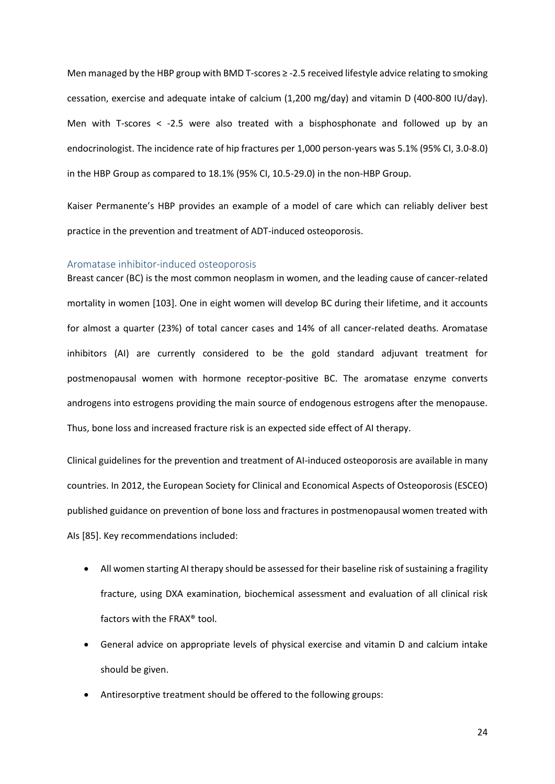Men managed by the HBP group with BMD T-scores ≥ -2.5 received lifestyle advice relating to smoking cessation, exercise and adequate intake of calcium (1,200 mg/day) and vitamin D (400-800 IU/day). Men with T-scores < -2.5 were also treated with a bisphosphonate and followed up by an endocrinologist. The incidence rate of hip fractures per 1,000 person-years was 5.1% (95% CI, 3.0-8.0) in the HBP Group as compared to 18.1% (95% CI, 10.5-29.0) in the non-HBP Group.

Kaiser Permanente's HBP provides an example of a model of care which can reliably deliver best practice in the prevention and treatment of ADT-induced osteoporosis.

#### Aromatase inhibitor-induced osteoporosis

Breast cancer (BC) is the most common neoplasm in women, and the leading cause of cancer-related mortality in women [103]. One in eight women will develop BC during their lifetime, and it accounts for almost a quarter (23%) of total cancer cases and 14% of all cancer-related deaths. Aromatase inhibitors (AI) are currently considered to be the gold standard adjuvant treatment for postmenopausal women with hormone receptor-positive BC. The aromatase enzyme converts androgens into estrogens providing the main source of endogenous estrogens after the menopause. Thus, bone loss and increased fracture risk is an expected side effect of AI therapy.

Clinical guidelines for the prevention and treatment of AI-induced osteoporosis are available in many countries. In 2012, the European Society for Clinical and Economical Aspects of Osteoporosis (ESCEO) published guidance on prevention of bone loss and fractures in postmenopausal women treated with AIs [85]. Key recommendations included:

- All women starting AI therapy should be assessed for their baseline risk of sustaining a fragility fracture, using DXA examination, biochemical assessment and evaluation of all clinical risk factors with the FRAX® tool.
- General advice on appropriate levels of physical exercise and vitamin D and calcium intake should be given.
- Antiresorptive treatment should be offered to the following groups: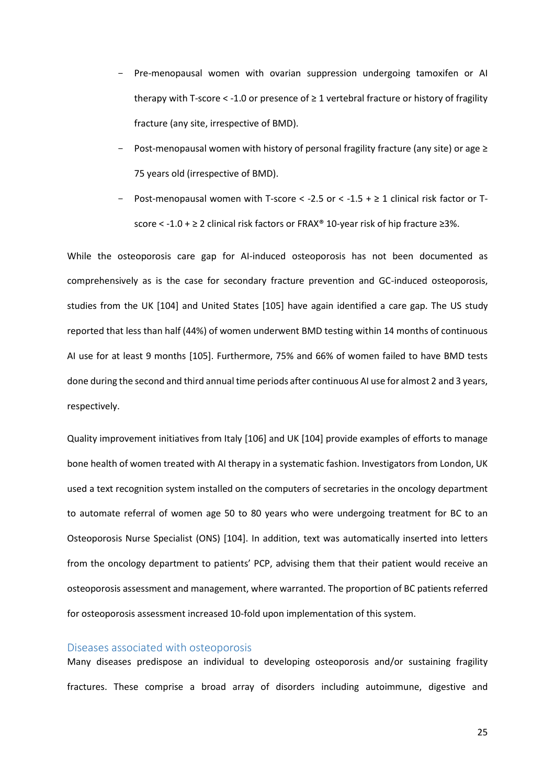- Pre-menopausal women with ovarian suppression undergoing tamoxifen or AI therapy with T-score  $\le$  -1.0 or presence of  $\geq$  1 vertebral fracture or history of fragility fracture (any site, irrespective of BMD).
- Post-menopausal women with history of personal fragility fracture (any site) or age  $\geq$ 75 years old (irrespective of BMD).
- Post-menopausal women with T-score < -2.5 or < -1.5 +  $\geq$  1 clinical risk factor or Tscore < -1.0 + ≥ 2 clinical risk factors or FRAX® 10-year risk of hip fracture ≥3%.

While the osteoporosis care gap for AI-induced osteoporosis has not been documented as comprehensively as is the case for secondary fracture prevention and GC-induced osteoporosis, studies from the UK [104] and United States [105] have again identified a care gap. The US study reported that less than half (44%) of women underwent BMD testing within 14 months of continuous AI use for at least 9 months [105]. Furthermore, 75% and 66% of women failed to have BMD tests done during the second and third annual time periods after continuous AI use for almost 2 and 3 years, respectively.

Quality improvement initiatives from Italy [106] and UK [104] provide examples of efforts to manage bone health of women treated with AI therapy in a systematic fashion. Investigators from London, UK used a text recognition system installed on the computers of secretaries in the oncology department to automate referral of women age 50 to 80 years who were undergoing treatment for BC to an Osteoporosis Nurse Specialist (ONS) [104]. In addition, text was automatically inserted into letters from the oncology department to patients' PCP, advising them that their patient would receive an osteoporosis assessment and management, where warranted. The proportion of BC patients referred for osteoporosis assessment increased 10-fold upon implementation of this system.

#### Diseases associated with osteoporosis

Many diseases predispose an individual to developing osteoporosis and/or sustaining fragility fractures. These comprise a broad array of disorders including autoimmune, digestive and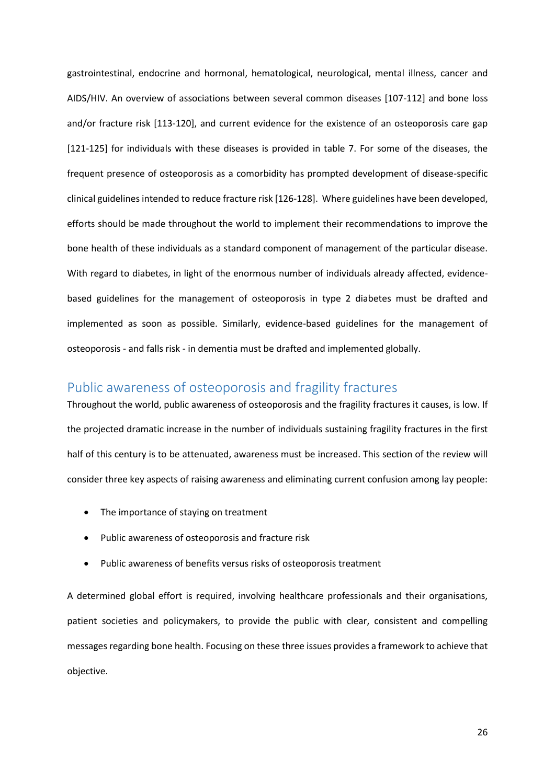gastrointestinal, endocrine and hormonal, hematological, neurological, mental illness, cancer and AIDS/HIV. An overview of associations between several common diseases [107-112] and bone loss and/or fracture risk [113-120], and current evidence for the existence of an osteoporosis care gap [121-125] for individuals with these diseases is provided in table 7. For some of the diseases, the frequent presence of osteoporosis as a comorbidity has prompted development of disease-specific clinical guidelines intended to reduce fracture risk [126-128]. Where guidelines have been developed, efforts should be made throughout the world to implement their recommendations to improve the bone health of these individuals as a standard component of management of the particular disease. With regard to diabetes, in light of the enormous number of individuals already affected, evidencebased guidelines for the management of osteoporosis in type 2 diabetes must be drafted and implemented as soon as possible. Similarly, evidence-based guidelines for the management of osteoporosis - and falls risk - in dementia must be drafted and implemented globally.

## Public awareness of osteoporosis and fragility fractures

Throughout the world, public awareness of osteoporosis and the fragility fractures it causes, is low. If the projected dramatic increase in the number of individuals sustaining fragility fractures in the first half of this century is to be attenuated, awareness must be increased. This section of the review will consider three key aspects of raising awareness and eliminating current confusion among lay people:

- The importance of staying on treatment
- Public awareness of osteoporosis and fracture risk
- Public awareness of benefits versus risks of osteoporosis treatment

A determined global effort is required, involving healthcare professionals and their organisations, patient societies and policymakers, to provide the public with clear, consistent and compelling messages regarding bone health. Focusing on these three issues provides a framework to achieve that objective.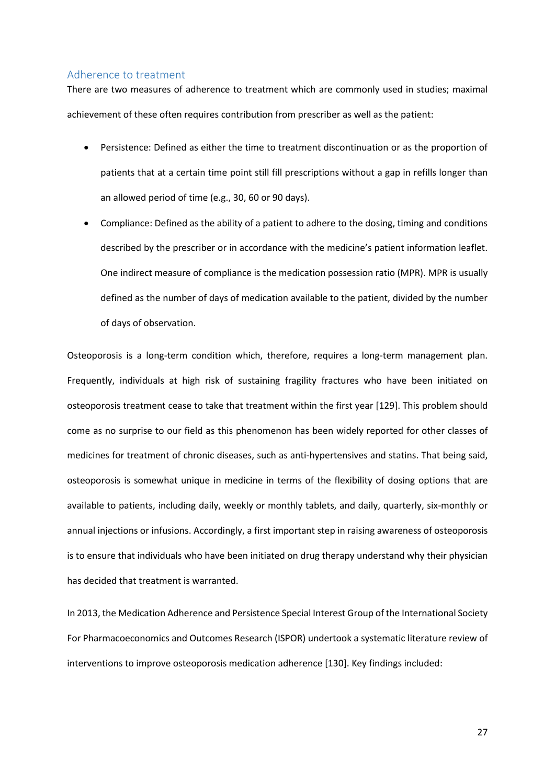#### Adherence to treatment

There are two measures of adherence to treatment which are commonly used in studies; maximal achievement of these often requires contribution from prescriber as well as the patient:

- Persistence: Defined as either the time to treatment discontinuation or as the proportion of patients that at a certain time point still fill prescriptions without a gap in refills longer than an allowed period of time (e.g., 30, 60 or 90 days).
- Compliance: Defined as the ability of a patient to adhere to the dosing, timing and conditions described by the prescriber or in accordance with the medicine's patient information leaflet. One indirect measure of compliance is the medication possession ratio (MPR). MPR is usually defined as the number of days of medication available to the patient, divided by the number of days of observation.

Osteoporosis is a long-term condition which, therefore, requires a long-term management plan. Frequently, individuals at high risk of sustaining fragility fractures who have been initiated on osteoporosis treatment cease to take that treatment within the first year [129]. This problem should come as no surprise to our field as this phenomenon has been widely reported for other classes of medicines for treatment of chronic diseases, such as anti-hypertensives and statins. That being said, osteoporosis is somewhat unique in medicine in terms of the flexibility of dosing options that are available to patients, including daily, weekly or monthly tablets, and daily, quarterly, six-monthly or annual injections or infusions. Accordingly, a first important step in raising awareness of osteoporosis is to ensure that individuals who have been initiated on drug therapy understand why their physician has decided that treatment is warranted.

In 2013, the Medication Adherence and Persistence Special Interest Group of the International Society For Pharmacoeconomics and Outcomes Research (ISPOR) undertook a systematic literature review of interventions to improve osteoporosis medication adherence [130]. Key findings included: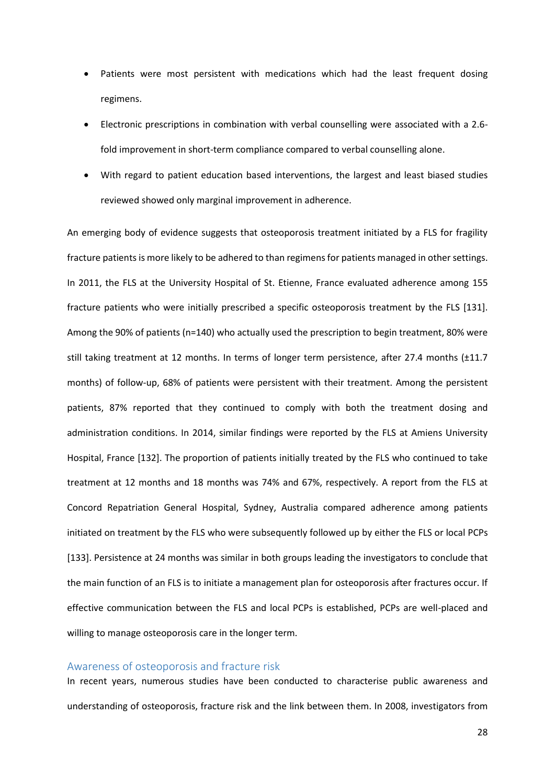- Patients were most persistent with medications which had the least frequent dosing regimens.
- Electronic prescriptions in combination with verbal counselling were associated with a 2.6 fold improvement in short-term compliance compared to verbal counselling alone.
- With regard to patient education based interventions, the largest and least biased studies reviewed showed only marginal improvement in adherence.

An emerging body of evidence suggests that osteoporosis treatment initiated by a FLS for fragility fracture patientsis more likely to be adhered to than regimens for patients managed in other settings. In 2011, the FLS at the University Hospital of St. Etienne, France evaluated adherence among 155 fracture patients who were initially prescribed a specific osteoporosis treatment by the FLS [131]. Among the 90% of patients (n=140) who actually used the prescription to begin treatment, 80% were still taking treatment at 12 months. In terms of longer term persistence, after 27.4 months (±11.7 months) of follow-up, 68% of patients were persistent with their treatment. Among the persistent patients, 87% reported that they continued to comply with both the treatment dosing and administration conditions. In 2014, similar findings were reported by the FLS at Amiens University Hospital, France [132]. The proportion of patients initially treated by the FLS who continued to take treatment at 12 months and 18 months was 74% and 67%, respectively. A report from the FLS at Concord Repatriation General Hospital, Sydney, Australia compared adherence among patients initiated on treatment by the FLS who were subsequently followed up by either the FLS or local PCPs [133]. Persistence at 24 months was similar in both groups leading the investigators to conclude that the main function of an FLS is to initiate a management plan for osteoporosis after fractures occur. If effective communication between the FLS and local PCPs is established, PCPs are well-placed and willing to manage osteoporosis care in the longer term.

#### Awareness of osteoporosis and fracture risk

In recent years, numerous studies have been conducted to characterise public awareness and understanding of osteoporosis, fracture risk and the link between them. In 2008, investigators from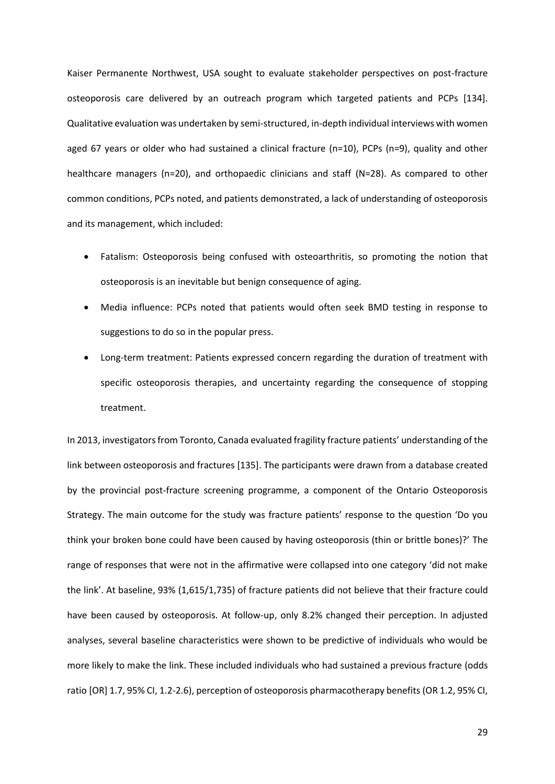Kaiser Permanente Northwest, USA sought to evaluate stakeholder perspectives on post-fracture osteoporosis care delivered by an outreach program which targeted patients and PCPs [134]. Qualitative evaluation was undertaken by semi-structured, in-depth individual interviews with women aged 67 years or older who had sustained a clinical fracture (n=10), PCPs (n=9), quality and other healthcare managers (n=20), and orthopaedic clinicians and staff (N=28). As compared to other common conditions, PCPs noted, and patients demonstrated, a lack of understanding of osteoporosis and its management, which included:

- Fatalism: Osteoporosis being confused with osteoarthritis, so promoting the notion that osteoporosis is an inevitable but benign consequence of aging.
- Media influence: PCPs noted that patients would often seek BMD testing in response to suggestions to do so in the popular press.
- Long-term treatment: Patients expressed concern regarding the duration of treatment with specific osteoporosis therapies, and uncertainty regarding the consequence of stopping treatment.

In 2013, investigators from Toronto, Canada evaluated fragility fracture patients' understanding of the link between osteoporosis and fractures [135]. The participants were drawn from a database created by the provincial post-fracture screening programme, a component of the Ontario Osteoporosis Strategy. The main outcome for the study was fracture patients' response to the question 'Do you think your broken bone could have been caused by having osteoporosis (thin or brittle bones)?' The range of responses that were not in the affirmative were collapsed into one category 'did not make the link'. At baseline, 93% (1,615/1,735) of fracture patients did not believe that their fracture could have been caused by osteoporosis. At follow-up, only 8.2% changed their perception. In adjusted analyses, several baseline characteristics were shown to be predictive of individuals who would be more likely to make the link. These included individuals who had sustained a previous fracture (odds ratio [OR] 1.7, 95% CI, 1.2-2.6), perception of osteoporosis pharmacotherapy benefits (OR 1.2, 95% CI,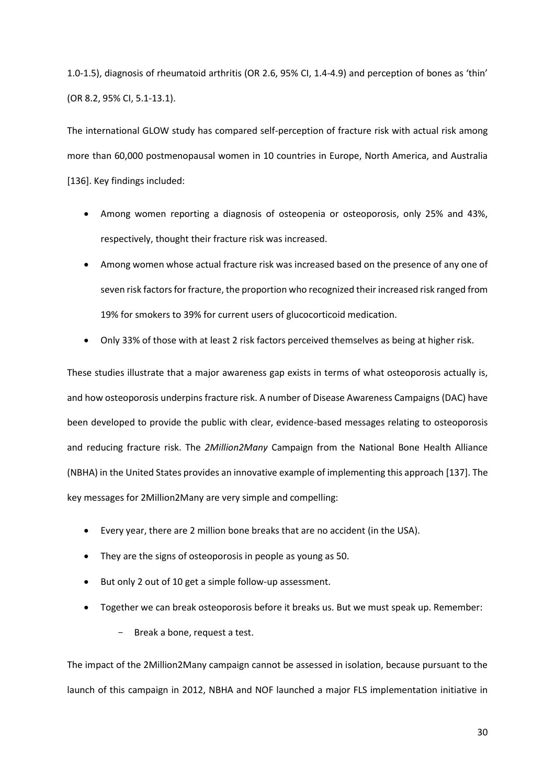1.0-1.5), diagnosis of rheumatoid arthritis (OR 2.6, 95% CI, 1.4-4.9) and perception of bones as 'thin' (OR 8.2, 95% CI, 5.1-13.1).

The international GLOW study has compared self-perception of fracture risk with actual risk among more than 60,000 postmenopausal women in 10 countries in Europe, North America, and Australia [136]. Key findings included:

- Among women reporting a diagnosis of osteopenia or osteoporosis, only 25% and 43%, respectively, thought their fracture risk was increased.
- Among women whose actual fracture risk was increased based on the presence of any one of seven risk factors for fracture, the proportion who recognized their increased risk ranged from 19% for smokers to 39% for current users of glucocorticoid medication.
- Only 33% of those with at least 2 risk factors perceived themselves as being at higher risk.

These studies illustrate that a major awareness gap exists in terms of what osteoporosis actually is, and how osteoporosis underpins fracture risk. A number of Disease Awareness Campaigns (DAC) have been developed to provide the public with clear, evidence-based messages relating to osteoporosis and reducing fracture risk. The *2Million2Many* Campaign from the National Bone Health Alliance (NBHA) in the United States provides an innovative example of implementing this approach [137]. The key messages for 2Million2Many are very simple and compelling:

- Every year, there are 2 million bone breaks that are no accident (in the USA).
- They are the signs of osteoporosis in people as young as 50.
- But only 2 out of 10 get a simple follow-up assessment.
- Together we can break osteoporosis before it breaks us. But we must speak up. Remember:
	- Break a bone, request a test.

The impact of the 2Million2Many campaign cannot be assessed in isolation, because pursuant to the launch of this campaign in 2012, NBHA and NOF launched a major FLS implementation initiative in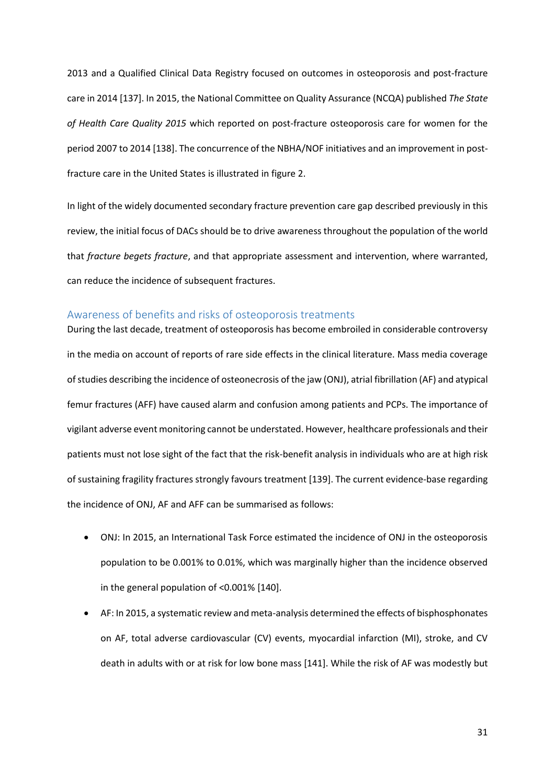2013 and a Qualified Clinical Data Registry focused on outcomes in osteoporosis and post-fracture care in 2014 [137]. In 2015, the National Committee on Quality Assurance (NCQA) published *The State of Health Care Quality 2015* which reported on post-fracture osteoporosis care for women for the period 2007 to 2014 [138]. The concurrence of the NBHA/NOF initiatives and an improvement in postfracture care in the United States is illustrated in figure 2.

In light of the widely documented secondary fracture prevention care gap described previously in this review, the initial focus of DACs should be to drive awareness throughout the population of the world that *fracture begets fracture*, and that appropriate assessment and intervention, where warranted, can reduce the incidence of subsequent fractures.

#### Awareness of benefits and risks of osteoporosis treatments

During the last decade, treatment of osteoporosis has become embroiled in considerable controversy in the media on account of reports of rare side effects in the clinical literature. Mass media coverage of studies describing the incidence of osteonecrosis of the jaw (ONJ), atrial fibrillation (AF) and atypical femur fractures (AFF) have caused alarm and confusion among patients and PCPs. The importance of vigilant adverse event monitoring cannot be understated. However, healthcare professionals and their patients must not lose sight of the fact that the risk-benefit analysis in individuals who are at high risk of sustaining fragility fractures strongly favours treatment [139]. The current evidence-base regarding the incidence of ONJ, AF and AFF can be summarised as follows:

- ONJ: In 2015, an International Task Force estimated the incidence of ONJ in the osteoporosis population to be 0.001% to 0.01%, which was marginally higher than the incidence observed in the general population of <0.001% [140].
- AF: In 2015, a systematic review and meta-analysis determined the effects of bisphosphonates on AF, total adverse cardiovascular (CV) events, myocardial infarction (MI), stroke, and CV death in adults with or at risk for low bone mass [141]. While the risk of AF was modestly but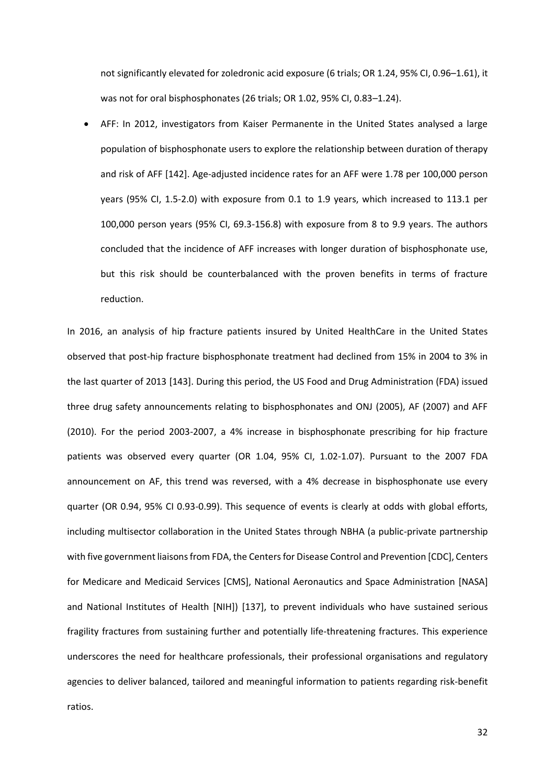not significantly elevated for zoledronic acid exposure (6 trials; OR 1.24, 95% CI, 0.96–1.61), it was not for oral bisphosphonates (26 trials; OR 1.02, 95% CI, 0.83–1.24).

• AFF: In 2012, investigators from Kaiser Permanente in the United States analysed a large population of bisphosphonate users to explore the relationship between duration of therapy and risk of AFF [142]. Age-adjusted incidence rates for an AFF were 1.78 per 100,000 person years (95% CI, 1.5-2.0) with exposure from 0.1 to 1.9 years, which increased to 113.1 per 100,000 person years (95% CI, 69.3-156.8) with exposure from 8 to 9.9 years. The authors concluded that the incidence of AFF increases with longer duration of bisphosphonate use, but this risk should be counterbalanced with the proven benefits in terms of fracture reduction.

In 2016, an analysis of hip fracture patients insured by United HealthCare in the United States observed that post-hip fracture bisphosphonate treatment had declined from 15% in 2004 to 3% in the last quarter of 2013 [143]. During this period, the US Food and Drug Administration (FDA) issued three drug safety announcements relating to bisphosphonates and ONJ (2005), AF (2007) and AFF (2010). For the period 2003-2007, a 4% increase in bisphosphonate prescribing for hip fracture patients was observed every quarter (OR 1.04, 95% CI, 1.02-1.07). Pursuant to the 2007 FDA announcement on AF, this trend was reversed, with a 4% decrease in bisphosphonate use every quarter (OR 0.94, 95% CI 0.93-0.99). This sequence of events is clearly at odds with global efforts, including multisector collaboration in the United States through NBHA (a public-private partnership with five government liaisons from FDA, the Centers for Disease Control and Prevention [CDC], Centers for Medicare and Medicaid Services [CMS], National Aeronautics and Space Administration [NASA] and National Institutes of Health [NIH]) [137], to prevent individuals who have sustained serious fragility fractures from sustaining further and potentially life-threatening fractures. This experience underscores the need for healthcare professionals, their professional organisations and regulatory agencies to deliver balanced, tailored and meaningful information to patients regarding risk-benefit ratios.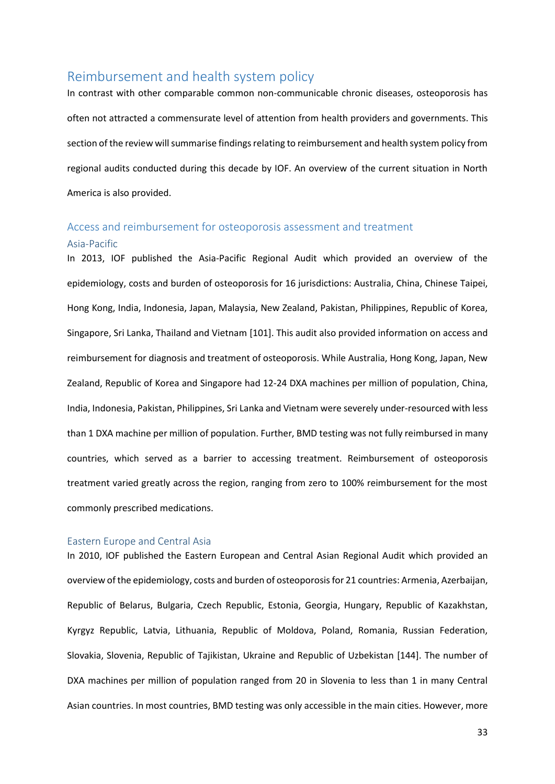## Reimbursement and health system policy

In contrast with other comparable common non-communicable chronic diseases, osteoporosis has often not attracted a commensurate level of attention from health providers and governments. This section of the review will summarise findings relating to reimbursement and health system policy from regional audits conducted during this decade by IOF. An overview of the current situation in North America is also provided.

## Access and reimbursement for osteoporosis assessment and treatment

#### Asia-Pacific

In 2013, IOF published the Asia-Pacific Regional Audit which provided an overview of the epidemiology, costs and burden of osteoporosis for 16 jurisdictions: Australia, China, Chinese Taipei, Hong Kong, India, Indonesia, Japan, Malaysia, New Zealand, Pakistan, Philippines, Republic of Korea, Singapore, Sri Lanka, Thailand and Vietnam [101]. This audit also provided information on access and reimbursement for diagnosis and treatment of osteoporosis. While Australia, Hong Kong, Japan, New Zealand, Republic of Korea and Singapore had 12-24 DXA machines per million of population, China, India, Indonesia, Pakistan, Philippines, Sri Lanka and Vietnam were severely under-resourced with less than 1 DXA machine per million of population. Further, BMD testing was not fully reimbursed in many countries, which served as a barrier to accessing treatment. Reimbursement of osteoporosis treatment varied greatly across the region, ranging from zero to 100% reimbursement for the most commonly prescribed medications.

#### Eastern Europe and Central Asia

In 2010, IOF published the Eastern European and Central Asian Regional Audit which provided an overview of the epidemiology, costs and burden of osteoporosis for 21 countries: Armenia, Azerbaijan, Republic of Belarus, Bulgaria, Czech Republic, Estonia, Georgia, Hungary, Republic of Kazakhstan, Kyrgyz Republic, Latvia, Lithuania, Republic of Moldova, Poland, Romania, Russian Federation, Slovakia, Slovenia, Republic of Tajikistan, Ukraine and Republic of Uzbekistan [144]. The number of DXA machines per million of population ranged from 20 in Slovenia to less than 1 in many Central Asian countries. In most countries, BMD testing was only accessible in the main cities. However, more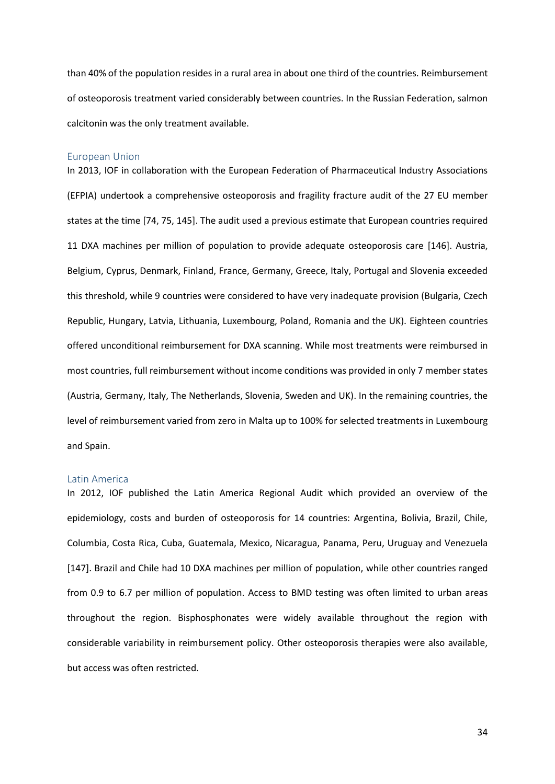than 40% of the population resides in a rural area in about one third of the countries. Reimbursement of osteoporosis treatment varied considerably between countries. In the Russian Federation, salmon calcitonin was the only treatment available.

#### European Union

In 2013, IOF in collaboration with the European Federation of Pharmaceutical Industry Associations (EFPIA) undertook a comprehensive osteoporosis and fragility fracture audit of the 27 EU member states at the time [74, 75, 145]. The audit used a previous estimate that European countries required 11 DXA machines per million of population to provide adequate osteoporosis care [146]. Austria, Belgium, Cyprus, Denmark, Finland, France, Germany, Greece, Italy, Portugal and Slovenia exceeded this threshold, while 9 countries were considered to have very inadequate provision (Bulgaria, Czech Republic, Hungary, Latvia, Lithuania, Luxembourg, Poland, Romania and the UK). Eighteen countries offered unconditional reimbursement for DXA scanning. While most treatments were reimbursed in most countries, full reimbursement without income conditions was provided in only 7 member states (Austria, Germany, Italy, The Netherlands, Slovenia, Sweden and UK). In the remaining countries, the level of reimbursement varied from zero in Malta up to 100% for selected treatments in Luxembourg and Spain.

#### Latin America

In 2012, IOF published the Latin America Regional Audit which provided an overview of the epidemiology, costs and burden of osteoporosis for 14 countries: Argentina, Bolivia, Brazil, Chile, Columbia, Costa Rica, Cuba, Guatemala, Mexico, Nicaragua, Panama, Peru, Uruguay and Venezuela [147]. Brazil and Chile had 10 DXA machines per million of population, while other countries ranged from 0.9 to 6.7 per million of population. Access to BMD testing was often limited to urban areas throughout the region. Bisphosphonates were widely available throughout the region with considerable variability in reimbursement policy. Other osteoporosis therapies were also available, but access was often restricted.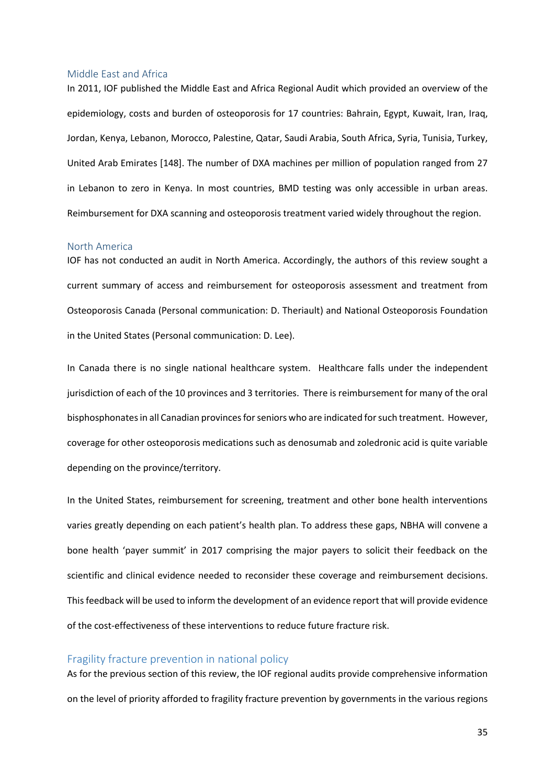#### Middle East and Africa

In 2011, IOF published the Middle East and Africa Regional Audit which provided an overview of the epidemiology, costs and burden of osteoporosis for 17 countries: Bahrain, Egypt, Kuwait, Iran, Iraq, Jordan, Kenya, Lebanon, Morocco, Palestine, Qatar, Saudi Arabia, South Africa, Syria, Tunisia, Turkey, United Arab Emirates [148]. The number of DXA machines per million of population ranged from 27 in Lebanon to zero in Kenya. In most countries, BMD testing was only accessible in urban areas. Reimbursement for DXA scanning and osteoporosis treatment varied widely throughout the region.

#### North America

IOF has not conducted an audit in North America. Accordingly, the authors of this review sought a current summary of access and reimbursement for osteoporosis assessment and treatment from Osteoporosis Canada (Personal communication: D. Theriault) and National Osteoporosis Foundation in the United States (Personal communication: D. Lee).

In Canada there is no single national healthcare system. Healthcare falls under the independent jurisdiction of each of the 10 provinces and 3 territories. There is reimbursement for many of the oral bisphosphonates in all Canadian provinces for seniors who are indicated for such treatment. However, coverage for other osteoporosis medications such as denosumab and zoledronic acid is quite variable depending on the province/territory.

In the United States, reimbursement for screening, treatment and other bone health interventions varies greatly depending on each patient's health plan. To address these gaps, NBHA will convene a bone health 'payer summit' in 2017 comprising the major payers to solicit their feedback on the scientific and clinical evidence needed to reconsider these coverage and reimbursement decisions. This feedback will be used to inform the development of an evidence report that will provide evidence of the cost-effectiveness of these interventions to reduce future fracture risk.

#### Fragility fracture prevention in national policy

As for the previous section of this review, the IOF regional audits provide comprehensive information on the level of priority afforded to fragility fracture prevention by governments in the various regions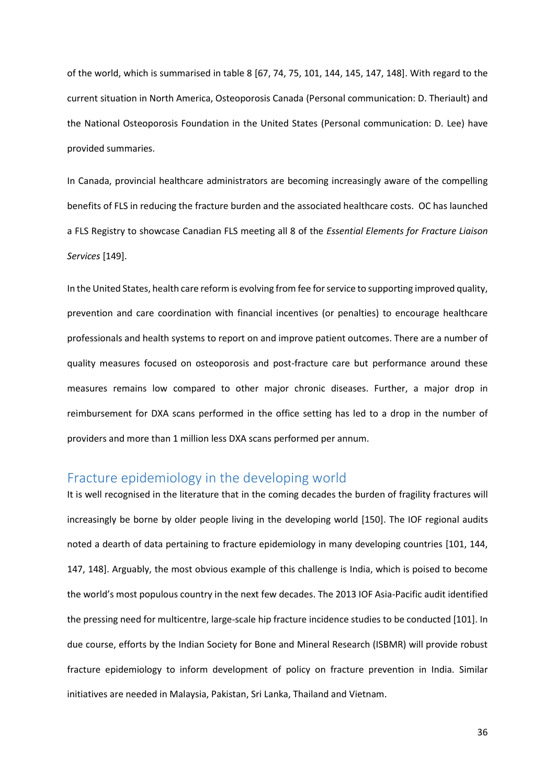of the world, which is summarised in table 8 [67, 74, 75, 101, 144, 145, 147, 148]. With regard to the current situation in North America, Osteoporosis Canada (Personal communication: D. Theriault) and the National Osteoporosis Foundation in the United States (Personal communication: D. Lee) have provided summaries.

In Canada, provincial healthcare administrators are becoming increasingly aware of the compelling benefits of FLS in reducing the fracture burden and the associated healthcare costs. OC has launched a FLS Registry to showcase Canadian FLS meeting all 8 of the *Essential Elements for Fracture Liaison Services* [149].

In the United States, health care reform is evolving from fee for service to supporting improved quality, prevention and care coordination with financial incentives (or penalties) to encourage healthcare professionals and health systems to report on and improve patient outcomes. There are a number of quality measures focused on osteoporosis and post-fracture care but performance around these measures remains low compared to other major chronic diseases. Further, a major drop in reimbursement for DXA scans performed in the office setting has led to a drop in the number of providers and more than 1 million less DXA scans performed per annum.

## Fracture epidemiology in the developing world

It is well recognised in the literature that in the coming decades the burden of fragility fractures will increasingly be borne by older people living in the developing world [150]. The IOF regional audits noted a dearth of data pertaining to fracture epidemiology in many developing countries [101, 144, 147, 148]. Arguably, the most obvious example of this challenge is India, which is poised to become the world's most populous country in the next few decades. The 2013 IOF Asia-Pacific audit identified the pressing need for multicentre, large-scale hip fracture incidence studies to be conducted [101]. In due course, efforts by the Indian Society for Bone and Mineral Research (ISBMR) will provide robust fracture epidemiology to inform development of policy on fracture prevention in India. Similar initiatives are needed in Malaysia, Pakistan, Sri Lanka, Thailand and Vietnam.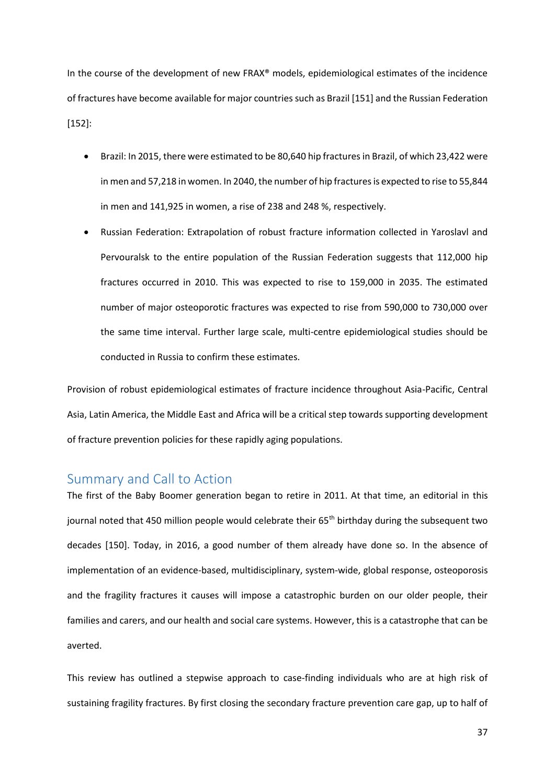In the course of the development of new FRAX® models, epidemiological estimates of the incidence of fractures have become available for major countries such as Brazil [151] and the Russian Federation [152]:

- Brazil: In 2015, there were estimated to be 80,640 hip fractures in Brazil, of which 23,422 were in men and 57,218 in women. In 2040, the number of hip fractures is expected to rise to 55,844 in men and 141,925 in women, a rise of 238 and 248 %, respectively.
- Russian Federation: Extrapolation of robust fracture information collected in Yaroslavl and Pervouralsk to the entire population of the Russian Federation suggests that 112,000 hip fractures occurred in 2010. This was expected to rise to 159,000 in 2035. The estimated number of major osteoporotic fractures was expected to rise from 590,000 to 730,000 over the same time interval. Further large scale, multi-centre epidemiological studies should be conducted in Russia to confirm these estimates.

Provision of robust epidemiological estimates of fracture incidence throughout Asia-Pacific, Central Asia, Latin America, the Middle East and Africa will be a critical step towards supporting development of fracture prevention policies for these rapidly aging populations.

### Summary and Call to Action

The first of the Baby Boomer generation began to retire in 2011. At that time, an editorial in this journal noted that 450 million people would celebrate their 65<sup>th</sup> birthday during the subsequent two decades [150]. Today, in 2016, a good number of them already have done so. In the absence of implementation of an evidence-based, multidisciplinary, system-wide, global response, osteoporosis and the fragility fractures it causes will impose a catastrophic burden on our older people, their families and carers, and our health and social care systems. However, this is a catastrophe that can be averted.

This review has outlined a stepwise approach to case-finding individuals who are at high risk of sustaining fragility fractures. By first closing the secondary fracture prevention care gap, up to half of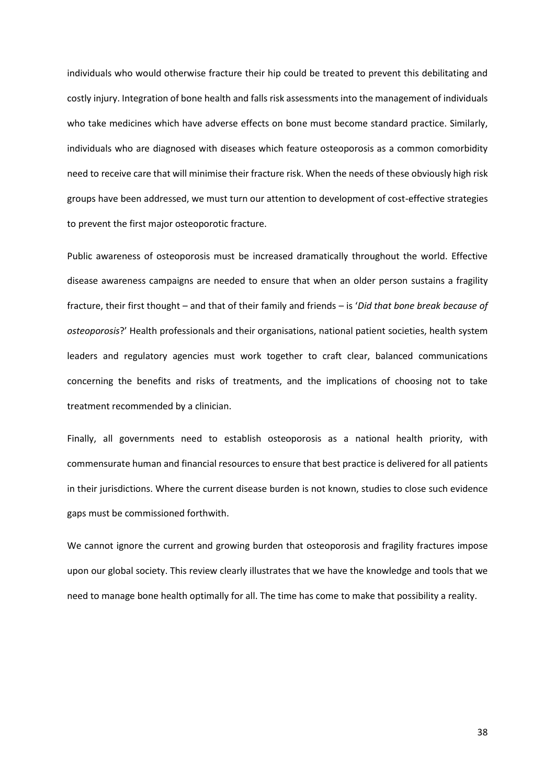individuals who would otherwise fracture their hip could be treated to prevent this debilitating and costly injury. Integration of bone health and falls risk assessments into the management of individuals who take medicines which have adverse effects on bone must become standard practice. Similarly, individuals who are diagnosed with diseases which feature osteoporosis as a common comorbidity need to receive care that will minimise their fracture risk. When the needs of these obviously high risk groups have been addressed, we must turn our attention to development of cost-effective strategies to prevent the first major osteoporotic fracture.

Public awareness of osteoporosis must be increased dramatically throughout the world. Effective disease awareness campaigns are needed to ensure that when an older person sustains a fragility fracture, their first thought – and that of their family and friends – is '*Did that bone break because of osteoporosis*?' Health professionals and their organisations, national patient societies, health system leaders and regulatory agencies must work together to craft clear, balanced communications concerning the benefits and risks of treatments, and the implications of choosing not to take treatment recommended by a clinician.

Finally, all governments need to establish osteoporosis as a national health priority, with commensurate human and financial resources to ensure that best practice is delivered for all patients in their jurisdictions. Where the current disease burden is not known, studies to close such evidence gaps must be commissioned forthwith.

We cannot ignore the current and growing burden that osteoporosis and fragility fractures impose upon our global society. This review clearly illustrates that we have the knowledge and tools that we need to manage bone health optimally for all. The time has come to make that possibility a reality.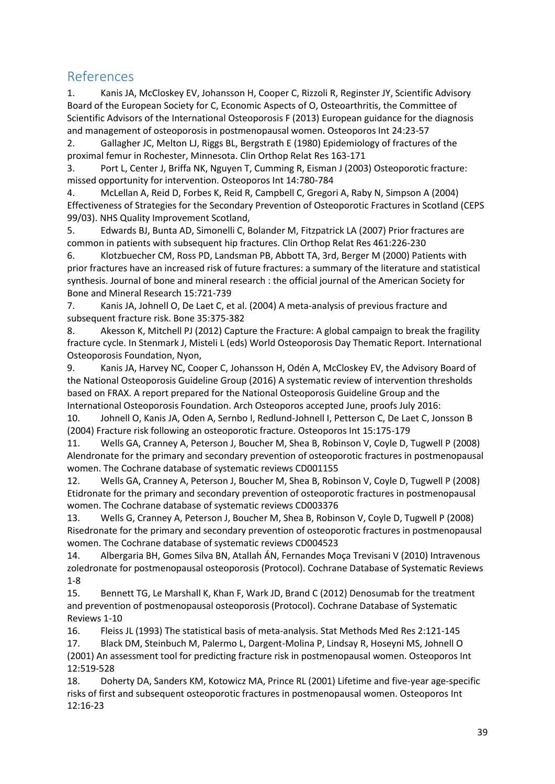## References

1. Kanis JA, McCloskey EV, Johansson H, Cooper C, Rizzoli R, Reginster JY, Scientific Advisory Board of the European Society for C, Economic Aspects of O, Osteoarthritis, the Committee of Scientific Advisors of the International Osteoporosis F (2013) European guidance for the diagnosis and management of osteoporosis in postmenopausal women. Osteoporos Int 24:23-57

2. Gallagher JC, Melton LJ, Riggs BL, Bergstrath E (1980) Epidemiology of fractures of the proximal femur in Rochester, Minnesota. Clin Orthop Relat Res 163-171

3. Port L, Center J, Briffa NK, Nguyen T, Cumming R, Eisman J (2003) Osteoporotic fracture: missed opportunity for intervention. Osteoporos Int 14:780-784

4. McLellan A, Reid D, Forbes K, Reid R, Campbell C, Gregori A, Raby N, Simpson A (2004) Effectiveness of Strategies for the Secondary Prevention of Osteoporotic Fractures in Scotland (CEPS 99/03). NHS Quality Improvement Scotland,

5. Edwards BJ, Bunta AD, Simonelli C, Bolander M, Fitzpatrick LA (2007) Prior fractures are common in patients with subsequent hip fractures. Clin Orthop Relat Res 461:226-230

6. Klotzbuecher CM, Ross PD, Landsman PB, Abbott TA, 3rd, Berger M (2000) Patients with prior fractures have an increased risk of future fractures: a summary of the literature and statistical synthesis. Journal of bone and mineral research : the official journal of the American Society for Bone and Mineral Research 15:721-739

7. Kanis JA, Johnell O, De Laet C, et al. (2004) A meta-analysis of previous fracture and subsequent fracture risk. Bone 35:375-382

8. Akesson K, Mitchell PJ (2012) Capture the Fracture: A global campaign to break the fragility fracture cycle. In Stenmark J, Misteli L (eds) World Osteoporosis Day Thematic Report. International Osteoporosis Foundation, Nyon,

9. Kanis JA, Harvey NC, Cooper C, Johansson H, Odén A, McCloskey EV, the Advisory Board of the National Osteoporosis Guideline Group (2016) A systematic review of intervention thresholds based on FRAX. A report prepared for the National Osteoporosis Guideline Group and the International Osteoporosis Foundation. Arch Osteoporos accepted June, proofs July 2016:

10. Johnell O, Kanis JA, Oden A, Sernbo I, Redlund-Johnell I, Petterson C, De Laet C, Jonsson B (2004) Fracture risk following an osteoporotic fracture. Osteoporos Int 15:175-179

11. Wells GA, Cranney A, Peterson J, Boucher M, Shea B, Robinson V, Coyle D, Tugwell P (2008) Alendronate for the primary and secondary prevention of osteoporotic fractures in postmenopausal women. The Cochrane database of systematic reviews CD001155

12. Wells GA, Cranney A, Peterson J, Boucher M, Shea B, Robinson V, Coyle D, Tugwell P (2008) Etidronate for the primary and secondary prevention of osteoporotic fractures in postmenopausal women. The Cochrane database of systematic reviews CD003376

13. Wells G, Cranney A, Peterson J, Boucher M, Shea B, Robinson V, Coyle D, Tugwell P (2008) Risedronate for the primary and secondary prevention of osteoporotic fractures in postmenopausal women. The Cochrane database of systematic reviews CD004523

14. Albergaria BH, Gomes Silva BN, Atallah ÁN, Fernandes Moça Trevisani V (2010) Intravenous zoledronate for postmenopausal osteoporosis (Protocol). Cochrane Database of Systematic Reviews 1-8

15. Bennett TG, Le Marshall K, Khan F, Wark JD, Brand C (2012) Denosumab for the treatment and prevention of postmenopausal osteoporosis (Protocol). Cochrane Database of Systematic Reviews 1-10

16. Fleiss JL (1993) The statistical basis of meta-analysis. Stat Methods Med Res 2:121-145

17. Black DM, Steinbuch M, Palermo L, Dargent-Molina P, Lindsay R, Hoseyni MS, Johnell O (2001) An assessment tool for predicting fracture risk in postmenopausal women. Osteoporos Int 12:519-528

18. Doherty DA, Sanders KM, Kotowicz MA, Prince RL (2001) Lifetime and five-year age-specific risks of first and subsequent osteoporotic fractures in postmenopausal women. Osteoporos Int 12:16-23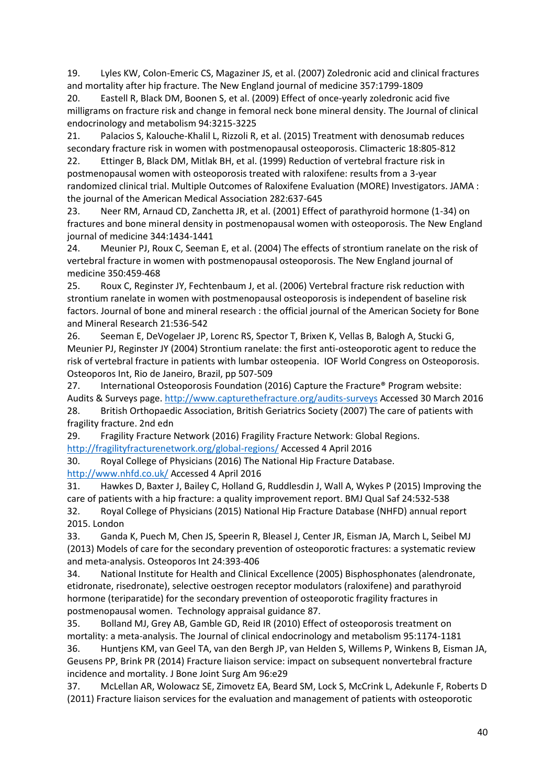19. Lyles KW, Colon-Emeric CS, Magaziner JS, et al. (2007) Zoledronic acid and clinical fractures and mortality after hip fracture. The New England journal of medicine 357:1799-1809

20. Eastell R, Black DM, Boonen S, et al. (2009) Effect of once-yearly zoledronic acid five milligrams on fracture risk and change in femoral neck bone mineral density. The Journal of clinical endocrinology and metabolism 94:3215-3225

21. Palacios S, Kalouche-Khalil L, Rizzoli R, et al. (2015) Treatment with denosumab reduces secondary fracture risk in women with postmenopausal osteoporosis. Climacteric 18:805-812

22. Ettinger B, Black DM, Mitlak BH, et al. (1999) Reduction of vertebral fracture risk in postmenopausal women with osteoporosis treated with raloxifene: results from a 3-year randomized clinical trial. Multiple Outcomes of Raloxifene Evaluation (MORE) Investigators. JAMA : the journal of the American Medical Association 282:637-645

23. Neer RM, Arnaud CD, Zanchetta JR, et al. (2001) Effect of parathyroid hormone (1-34) on fractures and bone mineral density in postmenopausal women with osteoporosis. The New England journal of medicine 344:1434-1441

24. Meunier PJ, Roux C, Seeman E, et al. (2004) The effects of strontium ranelate on the risk of vertebral fracture in women with postmenopausal osteoporosis. The New England journal of medicine 350:459-468

25. Roux C, Reginster JY, Fechtenbaum J, et al. (2006) Vertebral fracture risk reduction with strontium ranelate in women with postmenopausal osteoporosis is independent of baseline risk factors. Journal of bone and mineral research : the official journal of the American Society for Bone and Mineral Research 21:536-542

26. Seeman E, DeVogelaer JP, Lorenc RS, Spector T, Brixen K, Vellas B, Balogh A, Stucki G, Meunier PJ, Reginster JY (2004) Strontium ranelate: the first anti-osteoporotic agent to reduce the risk of vertebral fracture in patients with lumbar osteopenia. IOF World Congress on Osteoporosis. Osteoporos Int, Rio de Janeiro, Brazil, pp 507-509

27. International Osteoporosis Foundation (2016) Capture the Fracture® Program website: Audits & Surveys page[. http://www.capturethefracture.org/audits-surveys](http://www.capturethefracture.org/audits-surveys) Accessed 30 March 2016 28. British Orthopaedic Association, British Geriatrics Society (2007) The care of patients with fragility fracture. 2nd edn

29. Fragility Fracture Network (2016) Fragility Fracture Network: Global Regions. <http://fragilityfracturenetwork.org/global-regions/> Accessed 4 April 2016

30. Royal College of Physicians (2016) The National Hip Fracture Database.

<http://www.nhfd.co.uk/> Accessed 4 April 2016

31. Hawkes D, Baxter J, Bailey C, Holland G, Ruddlesdin J, Wall A, Wykes P (2015) Improving the care of patients with a hip fracture: a quality improvement report. BMJ Qual Saf 24:532-538

32. Royal College of Physicians (2015) National Hip Fracture Database (NHFD) annual report 2015. London

33. Ganda K, Puech M, Chen JS, Speerin R, Bleasel J, Center JR, Eisman JA, March L, Seibel MJ (2013) Models of care for the secondary prevention of osteoporotic fractures: a systematic review and meta-analysis. Osteoporos Int 24:393-406

34. National Institute for Health and Clinical Excellence (2005) Bisphosphonates (alendronate, etidronate, risedronate), selective oestrogen receptor modulators (raloxifene) and parathyroid hormone (teriparatide) for the secondary prevention of osteoporotic fragility fractures in postmenopausal women. Technology appraisal guidance 87.

35. Bolland MJ, Grey AB, Gamble GD, Reid IR (2010) Effect of osteoporosis treatment on mortality: a meta-analysis. The Journal of clinical endocrinology and metabolism 95:1174-1181

36. Huntjens KM, van Geel TA, van den Bergh JP, van Helden S, Willems P, Winkens B, Eisman JA, Geusens PP, Brink PR (2014) Fracture liaison service: impact on subsequent nonvertebral fracture incidence and mortality. J Bone Joint Surg Am 96:e29

37. McLellan AR, Wolowacz SE, Zimovetz EA, Beard SM, Lock S, McCrink L, Adekunle F, Roberts D (2011) Fracture liaison services for the evaluation and management of patients with osteoporotic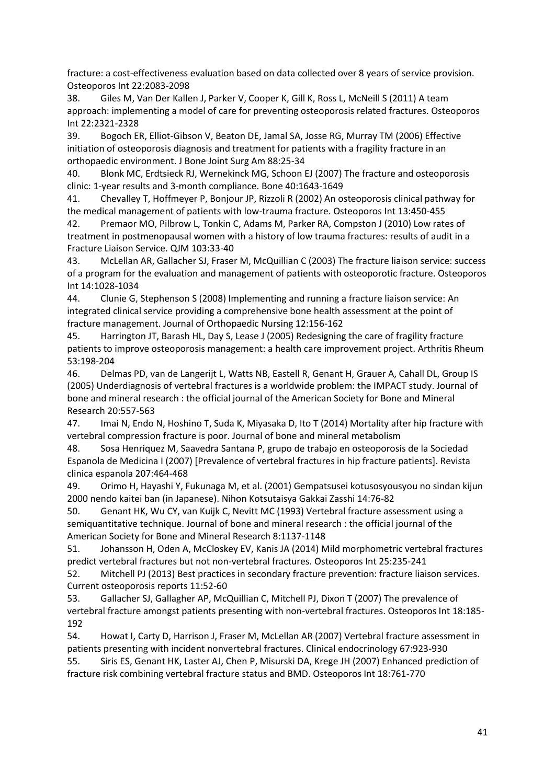fracture: a cost-effectiveness evaluation based on data collected over 8 years of service provision. Osteoporos Int 22:2083-2098

38. Giles M, Van Der Kallen J, Parker V, Cooper K, Gill K, Ross L, McNeill S (2011) A team approach: implementing a model of care for preventing osteoporosis related fractures. Osteoporos Int 22:2321-2328

39. Bogoch ER, Elliot-Gibson V, Beaton DE, Jamal SA, Josse RG, Murray TM (2006) Effective initiation of osteoporosis diagnosis and treatment for patients with a fragility fracture in an orthopaedic environment. J Bone Joint Surg Am 88:25-34

40. Blonk MC, Erdtsieck RJ, Wernekinck MG, Schoon EJ (2007) The fracture and osteoporosis clinic: 1-year results and 3-month compliance. Bone 40:1643-1649

41. Chevalley T, Hoffmeyer P, Bonjour JP, Rizzoli R (2002) An osteoporosis clinical pathway for the medical management of patients with low-trauma fracture. Osteoporos Int 13:450-455

42. Premaor MO, Pilbrow L, Tonkin C, Adams M, Parker RA, Compston J (2010) Low rates of treatment in postmenopausal women with a history of low trauma fractures: results of audit in a Fracture Liaison Service. QJM 103:33-40

43. McLellan AR, Gallacher SJ, Fraser M, McQuillian C (2003) The fracture liaison service: success of a program for the evaluation and management of patients with osteoporotic fracture. Osteoporos Int 14:1028-1034

44. Clunie G, Stephenson S (2008) Implementing and running a fracture liaison service: An integrated clinical service providing a comprehensive bone health assessment at the point of fracture management. Journal of Orthopaedic Nursing 12:156-162

45. Harrington JT, Barash HL, Day S, Lease J (2005) Redesigning the care of fragility fracture patients to improve osteoporosis management: a health care improvement project. Arthritis Rheum 53:198-204

46. Delmas PD, van de Langerijt L, Watts NB, Eastell R, Genant H, Grauer A, Cahall DL, Group IS (2005) Underdiagnosis of vertebral fractures is a worldwide problem: the IMPACT study. Journal of bone and mineral research : the official journal of the American Society for Bone and Mineral Research 20:557-563

47. Imai N, Endo N, Hoshino T, Suda K, Miyasaka D, Ito T (2014) Mortality after hip fracture with vertebral compression fracture is poor. Journal of bone and mineral metabolism

48. Sosa Henriquez M, Saavedra Santana P, grupo de trabajo en osteoporosis de la Sociedad Espanola de Medicina I (2007) [Prevalence of vertebral fractures in hip fracture patients]. Revista clinica espanola 207:464-468

49. Orimo H, Hayashi Y, Fukunaga M, et al. (2001) Gempatsusei kotusosyousyou no sindan kijun 2000 nendo kaitei ban (in Japanese). Nihon Kotsutaisya Gakkai Zasshi 14:76-82

50. Genant HK, Wu CY, van Kuijk C, Nevitt MC (1993) Vertebral fracture assessment using a semiquantitative technique. Journal of bone and mineral research : the official journal of the American Society for Bone and Mineral Research 8:1137-1148

51. Johansson H, Oden A, McCloskey EV, Kanis JA (2014) Mild morphometric vertebral fractures predict vertebral fractures but not non-vertebral fractures. Osteoporos Int 25:235-241

52. Mitchell PJ (2013) Best practices in secondary fracture prevention: fracture liaison services. Current osteoporosis reports 11:52-60

53. Gallacher SJ, Gallagher AP, McQuillian C, Mitchell PJ, Dixon T (2007) The prevalence of vertebral fracture amongst patients presenting with non-vertebral fractures. Osteoporos Int 18:185- 192

54. Howat I, Carty D, Harrison J, Fraser M, McLellan AR (2007) Vertebral fracture assessment in patients presenting with incident nonvertebral fractures. Clinical endocrinology 67:923-930

55. Siris ES, Genant HK, Laster AJ, Chen P, Misurski DA, Krege JH (2007) Enhanced prediction of fracture risk combining vertebral fracture status and BMD. Osteoporos Int 18:761-770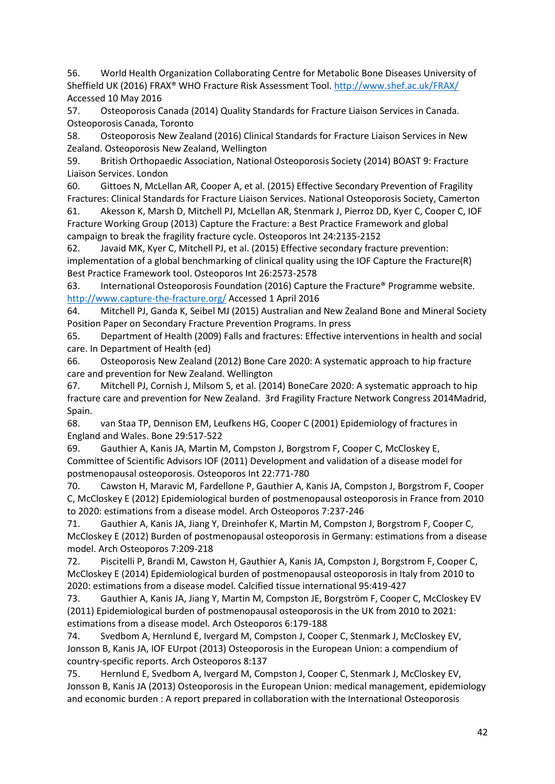56. World Health Organization Collaborating Centre for Metabolic Bone Diseases University of Sheffield UK (2016) FRAX® WHO Fracture Risk Assessment Tool[. http://www.shef.ac.uk/FRAX/](http://www.shef.ac.uk/FRAX/) Accessed 10 May 2016

57. Osteoporosis Canada (2014) Quality Standards for Fracture Liaison Services in Canada. Osteoporosis Canada, Toronto

58. Osteoporosis New Zealand (2016) Clinical Standards for Fracture Liaison Services in New Zealand. Osteoporosis New Zealand, Wellington

59. British Orthopaedic Association, National Osteoporosis Society (2014) BOAST 9: Fracture Liaison Services. London

60. Gittoes N, McLellan AR, Cooper A, et al. (2015) Effective Secondary Prevention of Fragility Fractures: Clinical Standards for Fracture Liaison Services. National Osteoporosis Society, Camerton

61. Akesson K, Marsh D, Mitchell PJ, McLellan AR, Stenmark J, Pierroz DD, Kyer C, Cooper C, IOF Fracture Working Group (2013) Capture the Fracture: a Best Practice Framework and global campaign to break the fragility fracture cycle. Osteoporos Int 24:2135-2152

62. Javaid MK, Kyer C, Mitchell PJ, et al. (2015) Effective secondary fracture prevention: implementation of a global benchmarking of clinical quality using the IOF Capture the Fracture(R) Best Practice Framework tool. Osteoporos Int 26:2573-2578

63. International Osteoporosis Foundation (2016) Capture the Fracture® Programme website. <http://www.capture-the-fracture.org/> Accessed 1 April 2016

64. Mitchell PJ, Ganda K, Seibel MJ (2015) Australian and New Zealand Bone and Mineral Society Position Paper on Secondary Fracture Prevention Programs. In press

65. Department of Health (2009) Falls and fractures: Effective interventions in health and social care. In Department of Health (ed)

66. Osteoporosis New Zealand (2012) Bone Care 2020: A systematic approach to hip fracture care and prevention for New Zealand. Wellington

67. Mitchell PJ, Cornish J, Milsom S, et al. (2014) BoneCare 2020: A systematic approach to hip fracture care and prevention for New Zealand. 3rd Fragility Fracture Network Congress 2014Madrid, Spain.

68. van Staa TP, Dennison EM, Leufkens HG, Cooper C (2001) Epidemiology of fractures in England and Wales. Bone 29:517-522

69. Gauthier A, Kanis JA, Martin M, Compston J, Borgstrom F, Cooper C, McCloskey E, Committee of Scientific Advisors IOF (2011) Development and validation of a disease model for postmenopausal osteoporosis. Osteoporos Int 22:771-780

70. Cawston H, Maravic M, Fardellone P, Gauthier A, Kanis JA, Compston J, Borgstrom F, Cooper C, McCloskey E (2012) Epidemiological burden of postmenopausal osteoporosis in France from 2010 to 2020: estimations from a disease model. Arch Osteoporos 7:237-246

71. Gauthier A, Kanis JA, Jiang Y, Dreinhofer K, Martin M, Compston J, Borgstrom F, Cooper C, McCloskey E (2012) Burden of postmenopausal osteoporosis in Germany: estimations from a disease model. Arch Osteoporos 7:209-218

72. Piscitelli P, Brandi M, Cawston H, Gauthier A, Kanis JA, Compston J, Borgstrom F, Cooper C, McCloskey E (2014) Epidemiological burden of postmenopausal osteoporosis in Italy from 2010 to 2020: estimations from a disease model. Calcified tissue international 95:419-427

73. Gauthier A, Kanis JA, Jiang Y, Martin M, Compston JE, Borgström F, Cooper C, McCloskey EV (2011) Epidemiological burden of postmenopausal osteoporosis in the UK from 2010 to 2021: estimations from a disease model. Arch Osteoporos 6:179-188

74. Svedbom A, Hernlund E, Ivergard M, Compston J, Cooper C, Stenmark J, McCloskey EV, Jonsson B, Kanis JA, IOF EUrpot (2013) Osteoporosis in the European Union: a compendium of country-specific reports. Arch Osteoporos 8:137

75. Hernlund E, Svedbom A, Ivergard M, Compston J, Cooper C, Stenmark J, McCloskey EV, Jonsson B, Kanis JA (2013) Osteoporosis in the European Union: medical management, epidemiology and economic burden : A report prepared in collaboration with the International Osteoporosis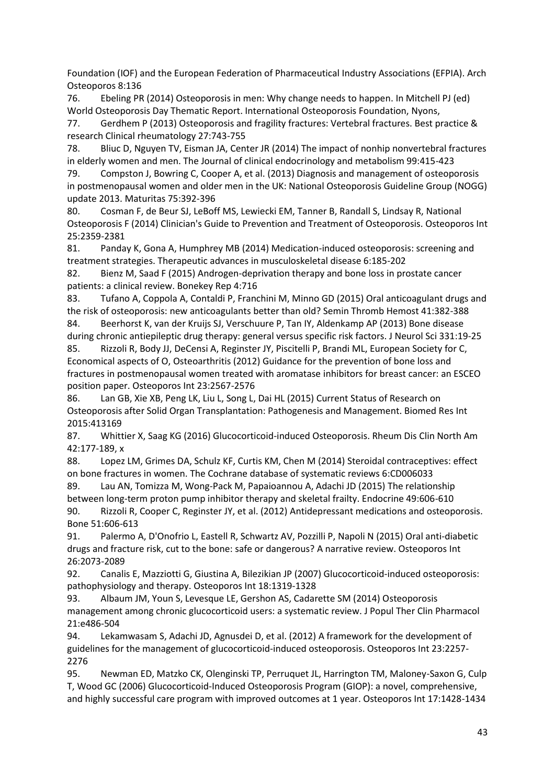Foundation (IOF) and the European Federation of Pharmaceutical Industry Associations (EFPIA). Arch Osteoporos 8:136

76. Ebeling PR (2014) Osteoporosis in men: Why change needs to happen. In Mitchell PJ (ed) World Osteoporosis Day Thematic Report. International Osteoporosis Foundation, Nyons,

77. Gerdhem P (2013) Osteoporosis and fragility fractures: Vertebral fractures. Best practice & research Clinical rheumatology 27:743-755

78. Bliuc D, Nguyen TV, Eisman JA, Center JR (2014) The impact of nonhip nonvertebral fractures in elderly women and men. The Journal of clinical endocrinology and metabolism 99:415-423

79. Compston J, Bowring C, Cooper A, et al. (2013) Diagnosis and management of osteoporosis in postmenopausal women and older men in the UK: National Osteoporosis Guideline Group (NOGG) update 2013. Maturitas 75:392-396

80. Cosman F, de Beur SJ, LeBoff MS, Lewiecki EM, Tanner B, Randall S, Lindsay R, National Osteoporosis F (2014) Clinician's Guide to Prevention and Treatment of Osteoporosis. Osteoporos Int 25:2359-2381

81. Panday K, Gona A, Humphrey MB (2014) Medication-induced osteoporosis: screening and treatment strategies. Therapeutic advances in musculoskeletal disease 6:185-202

82. Bienz M, Saad F (2015) Androgen-deprivation therapy and bone loss in prostate cancer patients: a clinical review. Bonekey Rep 4:716

83. Tufano A, Coppola A, Contaldi P, Franchini M, Minno GD (2015) Oral anticoagulant drugs and the risk of osteoporosis: new anticoagulants better than old? Semin Thromb Hemost 41:382-388

84. Beerhorst K, van der Kruijs SJ, Verschuure P, Tan IY, Aldenkamp AP (2013) Bone disease during chronic antiepileptic drug therapy: general versus specific risk factors. J Neurol Sci 331:19-25

85. Rizzoli R, Body JJ, DeCensi A, Reginster JY, Piscitelli P, Brandi ML, European Society for C, Economical aspects of O, Osteoarthritis (2012) Guidance for the prevention of bone loss and fractures in postmenopausal women treated with aromatase inhibitors for breast cancer: an ESCEO position paper. Osteoporos Int 23:2567-2576

86. Lan GB, Xie XB, Peng LK, Liu L, Song L, Dai HL (2015) Current Status of Research on Osteoporosis after Solid Organ Transplantation: Pathogenesis and Management. Biomed Res Int 2015:413169

87. Whittier X, Saag KG (2016) Glucocorticoid-induced Osteoporosis. Rheum Dis Clin North Am 42:177-189, x

88. Lopez LM, Grimes DA, Schulz KF, Curtis KM, Chen M (2014) Steroidal contraceptives: effect on bone fractures in women. The Cochrane database of systematic reviews 6:CD006033

89. Lau AN, Tomizza M, Wong-Pack M, Papaioannou A, Adachi JD (2015) The relationship between long-term proton pump inhibitor therapy and skeletal frailty. Endocrine 49:606-610 90. Rizzoli R, Cooper C, Reginster JY, et al. (2012) Antidepressant medications and osteoporosis.

Bone 51:606-613

91. Palermo A, D'Onofrio L, Eastell R, Schwartz AV, Pozzilli P, Napoli N (2015) Oral anti-diabetic drugs and fracture risk, cut to the bone: safe or dangerous? A narrative review. Osteoporos Int 26:2073-2089

92. Canalis E, Mazziotti G, Giustina A, Bilezikian JP (2007) Glucocorticoid-induced osteoporosis: pathophysiology and therapy. Osteoporos Int 18:1319-1328

93. Albaum JM, Youn S, Levesque LE, Gershon AS, Cadarette SM (2014) Osteoporosis management among chronic glucocorticoid users: a systematic review. J Popul Ther Clin Pharmacol 21:e486-504

94. Lekamwasam S, Adachi JD, Agnusdei D, et al. (2012) A framework for the development of guidelines for the management of glucocorticoid-induced osteoporosis. Osteoporos Int 23:2257- 2276

95. Newman ED, Matzko CK, Olenginski TP, Perruquet JL, Harrington TM, Maloney-Saxon G, Culp T, Wood GC (2006) Glucocorticoid-Induced Osteoporosis Program (GIOP): a novel, comprehensive, and highly successful care program with improved outcomes at 1 year. Osteoporos Int 17:1428-1434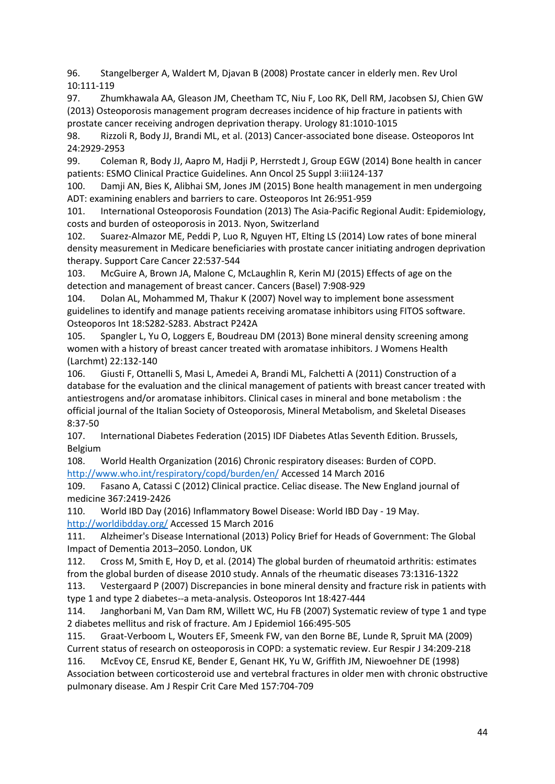96. Stangelberger A, Waldert M, Djavan B (2008) Prostate cancer in elderly men. Rev Urol 10:111-119

97. Zhumkhawala AA, Gleason JM, Cheetham TC, Niu F, Loo RK, Dell RM, Jacobsen SJ, Chien GW (2013) Osteoporosis management program decreases incidence of hip fracture in patients with prostate cancer receiving androgen deprivation therapy. Urology 81:1010-1015

98. Rizzoli R, Body JJ, Brandi ML, et al. (2013) Cancer-associated bone disease. Osteoporos Int 24:2929-2953

99. Coleman R, Body JJ, Aapro M, Hadji P, Herrstedt J, Group EGW (2014) Bone health in cancer patients: ESMO Clinical Practice Guidelines. Ann Oncol 25 Suppl 3:iii124-137

100. Damji AN, Bies K, Alibhai SM, Jones JM (2015) Bone health management in men undergoing ADT: examining enablers and barriers to care. Osteoporos Int 26:951-959

101. International Osteoporosis Foundation (2013) The Asia-Pacific Regional Audit: Epidemiology, costs and burden of osteoporosis in 2013. Nyon, Switzerland

102. Suarez-Almazor ME, Peddi P, Luo R, Nguyen HT, Elting LS (2014) Low rates of bone mineral density measurement in Medicare beneficiaries with prostate cancer initiating androgen deprivation therapy. Support Care Cancer 22:537-544

103. McGuire A, Brown JA, Malone C, McLaughlin R, Kerin MJ (2015) Effects of age on the detection and management of breast cancer. Cancers (Basel) 7:908-929

104. Dolan AL, Mohammed M, Thakur K (2007) Novel way to implement bone assessment guidelines to identify and manage patients receiving aromatase inhibitors using FITOS software. Osteoporos Int 18:S282-S283. Abstract P242A

105. Spangler L, Yu O, Loggers E, Boudreau DM (2013) Bone mineral density screening among women with a history of breast cancer treated with aromatase inhibitors. J Womens Health (Larchmt) 22:132-140

106. Giusti F, Ottanelli S, Masi L, Amedei A, Brandi ML, Falchetti A (2011) Construction of a database for the evaluation and the clinical management of patients with breast cancer treated with antiestrogens and/or aromatase inhibitors. Clinical cases in mineral and bone metabolism : the official journal of the Italian Society of Osteoporosis, Mineral Metabolism, and Skeletal Diseases 8:37-50

107. International Diabetes Federation (2015) IDF Diabetes Atlas Seventh Edition. Brussels, Belgium

108. World Health Organization (2016) Chronic respiratory diseases: Burden of COPD. <http://www.who.int/respiratory/copd/burden/en/> Accessed 14 March 2016

109. Fasano A, Catassi C (2012) Clinical practice. Celiac disease. The New England journal of medicine 367:2419-2426

110. World IBD Day (2016) Inflammatory Bowel Disease: World IBD Day - 19 May. <http://worldibdday.org/> Accessed 15 March 2016

111. Alzheimer's Disease International (2013) Policy Brief for Heads of Government: The Global Impact of Dementia 2013–2050. London, UK

112. Cross M, Smith E, Hoy D, et al. (2014) The global burden of rheumatoid arthritis: estimates from the global burden of disease 2010 study. Annals of the rheumatic diseases 73:1316-1322

113. Vestergaard P (2007) Discrepancies in bone mineral density and fracture risk in patients with type 1 and type 2 diabetes--a meta-analysis. Osteoporos Int 18:427-444

114. Janghorbani M, Van Dam RM, Willett WC, Hu FB (2007) Systematic review of type 1 and type 2 diabetes mellitus and risk of fracture. Am J Epidemiol 166:495-505

115. Graat-Verboom L, Wouters EF, Smeenk FW, van den Borne BE, Lunde R, Spruit MA (2009) Current status of research on osteoporosis in COPD: a systematic review. Eur Respir J 34:209-218

116. McEvoy CE, Ensrud KE, Bender E, Genant HK, Yu W, Griffith JM, Niewoehner DE (1998) Association between corticosteroid use and vertebral fractures in older men with chronic obstructive pulmonary disease. Am J Respir Crit Care Med 157:704-709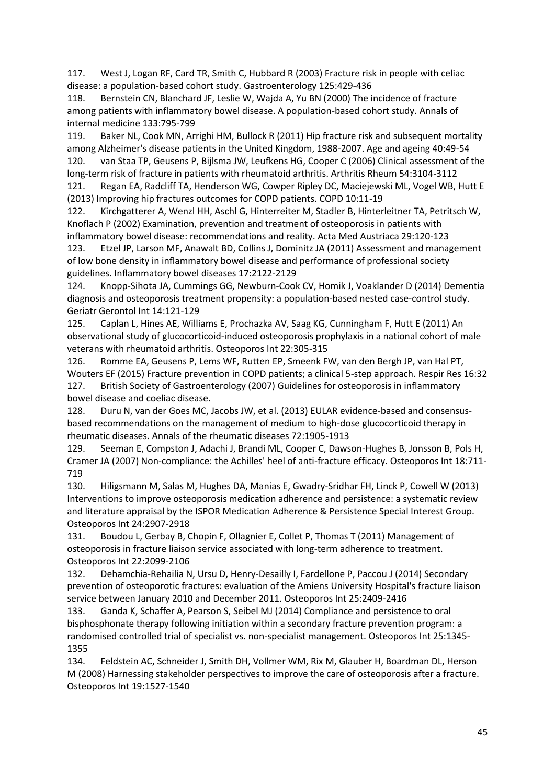117. West J, Logan RF, Card TR, Smith C, Hubbard R (2003) Fracture risk in people with celiac disease: a population-based cohort study. Gastroenterology 125:429-436

118. Bernstein CN, Blanchard JF, Leslie W, Wajda A, Yu BN (2000) The incidence of fracture among patients with inflammatory bowel disease. A population-based cohort study. Annals of internal medicine 133:795-799

119. Baker NL, Cook MN, Arrighi HM, Bullock R (2011) Hip fracture risk and subsequent mortality among Alzheimer's disease patients in the United Kingdom, 1988-2007. Age and ageing 40:49-54 120. van Staa TP, Geusens P, Bijlsma JW, Leufkens HG, Cooper C (2006) Clinical assessment of the long-term risk of fracture in patients with rheumatoid arthritis. Arthritis Rheum 54:3104-3112

121. Regan EA, Radcliff TA, Henderson WG, Cowper Ripley DC, Maciejewski ML, Vogel WB, Hutt E (2013) Improving hip fractures outcomes for COPD patients. COPD 10:11-19

122. Kirchgatterer A, Wenzl HH, Aschl G, Hinterreiter M, Stadler B, Hinterleitner TA, Petritsch W, Knoflach P (2002) Examination, prevention and treatment of osteoporosis in patients with inflammatory bowel disease: recommendations and reality. Acta Med Austriaca 29:120-123

123. Etzel JP, Larson MF, Anawalt BD, Collins J, Dominitz JA (2011) Assessment and management of low bone density in inflammatory bowel disease and performance of professional society guidelines. Inflammatory bowel diseases 17:2122-2129

124. Knopp-Sihota JA, Cummings GG, Newburn-Cook CV, Homik J, Voaklander D (2014) Dementia diagnosis and osteoporosis treatment propensity: a population-based nested case-control study. Geriatr Gerontol Int 14:121-129

125. Caplan L, Hines AE, Williams E, Prochazka AV, Saag KG, Cunningham F, Hutt E (2011) An observational study of glucocorticoid-induced osteoporosis prophylaxis in a national cohort of male veterans with rheumatoid arthritis. Osteoporos Int 22:305-315

126. Romme EA, Geusens P, Lems WF, Rutten EP, Smeenk FW, van den Bergh JP, van Hal PT, Wouters EF (2015) Fracture prevention in COPD patients; a clinical 5-step approach. Respir Res 16:32 127. British Society of Gastroenterology (2007) Guidelines for osteoporosis in inflammatory bowel disease and coeliac disease.

128. Duru N, van der Goes MC, Jacobs JW, et al. (2013) EULAR evidence-based and consensusbased recommendations on the management of medium to high-dose glucocorticoid therapy in rheumatic diseases. Annals of the rheumatic diseases 72:1905-1913

129. Seeman E, Compston J, Adachi J, Brandi ML, Cooper C, Dawson-Hughes B, Jonsson B, Pols H, Cramer JA (2007) Non-compliance: the Achilles' heel of anti-fracture efficacy. Osteoporos Int 18:711- 719

130. Hiligsmann M, Salas M, Hughes DA, Manias E, Gwadry-Sridhar FH, Linck P, Cowell W (2013) Interventions to improve osteoporosis medication adherence and persistence: a systematic review and literature appraisal by the ISPOR Medication Adherence & Persistence Special Interest Group. Osteoporos Int 24:2907-2918

131. Boudou L, Gerbay B, Chopin F, Ollagnier E, Collet P, Thomas T (2011) Management of osteoporosis in fracture liaison service associated with long-term adherence to treatment. Osteoporos Int 22:2099-2106

132. Dehamchia-Rehailia N, Ursu D, Henry-Desailly I, Fardellone P, Paccou J (2014) Secondary prevention of osteoporotic fractures: evaluation of the Amiens University Hospital's fracture liaison service between January 2010 and December 2011. Osteoporos Int 25:2409-2416

133. Ganda K, Schaffer A, Pearson S, Seibel MJ (2014) Compliance and persistence to oral bisphosphonate therapy following initiation within a secondary fracture prevention program: a randomised controlled trial of specialist vs. non-specialist management. Osteoporos Int 25:1345- 1355

134. Feldstein AC, Schneider J, Smith DH, Vollmer WM, Rix M, Glauber H, Boardman DL, Herson M (2008) Harnessing stakeholder perspectives to improve the care of osteoporosis after a fracture. Osteoporos Int 19:1527-1540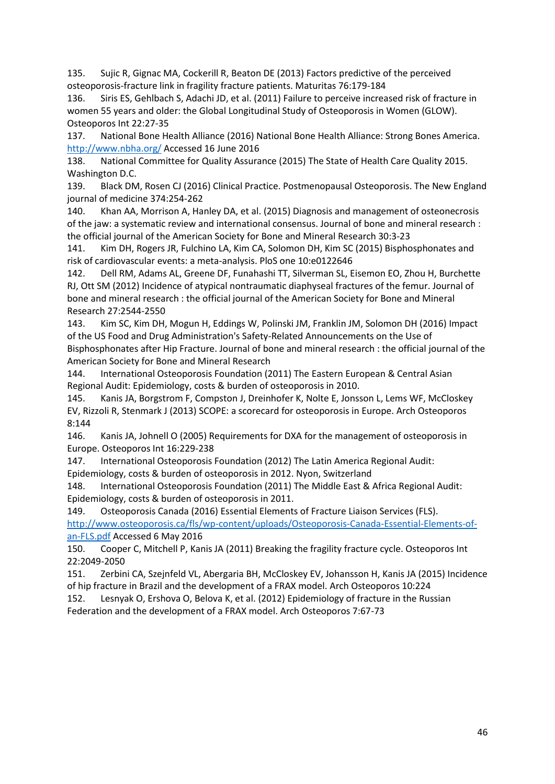135. Sujic R, Gignac MA, Cockerill R, Beaton DE (2013) Factors predictive of the perceived osteoporosis-fracture link in fragility fracture patients. Maturitas 76:179-184

136. Siris ES, Gehlbach S, Adachi JD, et al. (2011) Failure to perceive increased risk of fracture in women 55 years and older: the Global Longitudinal Study of Osteoporosis in Women (GLOW). Osteoporos Int 22:27-35

137. National Bone Health Alliance (2016) National Bone Health Alliance: Strong Bones America. <http://www.nbha.org/> Accessed 16 June 2016

138. National Committee for Quality Assurance (2015) The State of Health Care Quality 2015. Washington D.C.

139. Black DM, Rosen CJ (2016) Clinical Practice. Postmenopausal Osteoporosis. The New England journal of medicine 374:254-262

140. Khan AA, Morrison A, Hanley DA, et al. (2015) Diagnosis and management of osteonecrosis of the jaw: a systematic review and international consensus. Journal of bone and mineral research : the official journal of the American Society for Bone and Mineral Research 30:3-23

141. Kim DH, Rogers JR, Fulchino LA, Kim CA, Solomon DH, Kim SC (2015) Bisphosphonates and risk of cardiovascular events: a meta-analysis. PloS one 10:e0122646

142. Dell RM, Adams AL, Greene DF, Funahashi TT, Silverman SL, Eisemon EO, Zhou H, Burchette RJ, Ott SM (2012) Incidence of atypical nontraumatic diaphyseal fractures of the femur. Journal of bone and mineral research : the official journal of the American Society for Bone and Mineral Research 27:2544-2550

143. Kim SC, Kim DH, Mogun H, Eddings W, Polinski JM, Franklin JM, Solomon DH (2016) Impact of the US Food and Drug Administration's Safety-Related Announcements on the Use of Bisphosphonates after Hip Fracture. Journal of bone and mineral research : the official journal of the American Society for Bone and Mineral Research

144. International Osteoporosis Foundation (2011) The Eastern European & Central Asian Regional Audit: Epidemiology, costs & burden of osteoporosis in 2010.

145. Kanis JA, Borgstrom F, Compston J, Dreinhofer K, Nolte E, Jonsson L, Lems WF, McCloskey EV, Rizzoli R, Stenmark J (2013) SCOPE: a scorecard for osteoporosis in Europe. Arch Osteoporos 8:144

146. Kanis JA, Johnell O (2005) Requirements for DXA for the management of osteoporosis in Europe. Osteoporos Int 16:229-238

147. International Osteoporosis Foundation (2012) The Latin America Regional Audit: Epidemiology, costs & burden of osteoporosis in 2012. Nyon, Switzerland

148. International Osteoporosis Foundation (2011) The Middle East & Africa Regional Audit: Epidemiology, costs & burden of osteoporosis in 2011.

149. Osteoporosis Canada (2016) Essential Elements of Fracture Liaison Services (FLS). [http://www.osteoporosis.ca/fls/wp-content/uploads/Osteoporosis-Canada-Essential-Elements-of](http://www.osteoporosis.ca/fls/wp-content/uploads/Osteoporosis-Canada-Essential-Elements-of-an-FLS.pdf)[an-FLS.pdf](http://www.osteoporosis.ca/fls/wp-content/uploads/Osteoporosis-Canada-Essential-Elements-of-an-FLS.pdf) Accessed 6 May 2016

150. Cooper C, Mitchell P, Kanis JA (2011) Breaking the fragility fracture cycle. Osteoporos Int 22:2049-2050

151. Zerbini CA, Szejnfeld VL, Abergaria BH, McCloskey EV, Johansson H, Kanis JA (2015) Incidence of hip fracture in Brazil and the development of a FRAX model. Arch Osteoporos 10:224

152. Lesnyak O, Ershova O, Belova K, et al. (2012) Epidemiology of fracture in the Russian Federation and the development of a FRAX model. Arch Osteoporos 7:67-73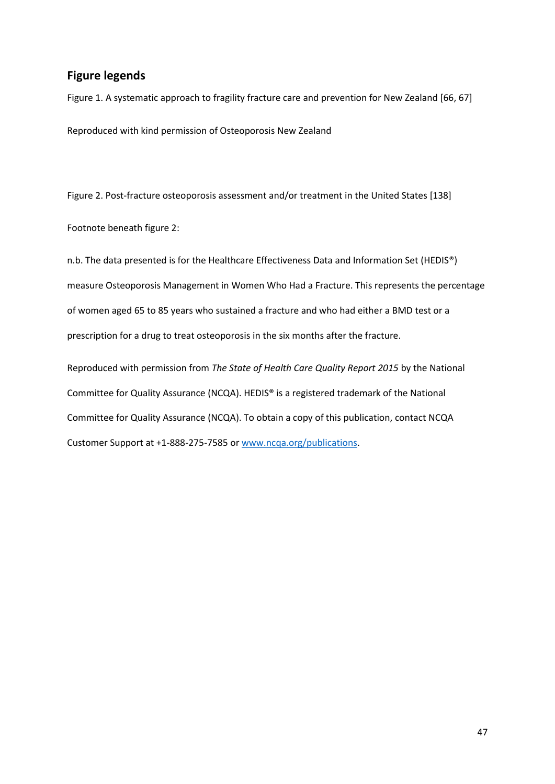## **Figure legends**

Figure 1. A systematic approach to fragility fracture care and prevention for New Zealand [66, 67] Reproduced with kind permission of Osteoporosis New Zealand

Figure 2. Post-fracture osteoporosis assessment and/or treatment in the United States [138]

Footnote beneath figure 2:

n.b. The data presented is for the Healthcare Effectiveness Data and Information Set (HEDIS®) measure Osteoporosis Management in Women Who Had a Fracture. This represents the percentage of women aged 65 to 85 years who sustained a fracture and who had either a BMD test or a prescription for a drug to treat osteoporosis in the six months after the fracture.

Reproduced with permission from *The State of Health Care Quality Report 2015* by the National Committee for Quality Assurance (NCQA). HEDIS® is a registered trademark of the National Committee for Quality Assurance (NCQA). To obtain a copy of this publication, contact NCQA Customer Support at +1-888-275-7585 or [www.ncqa.org/publications.](http://www.ncqa.org/publications)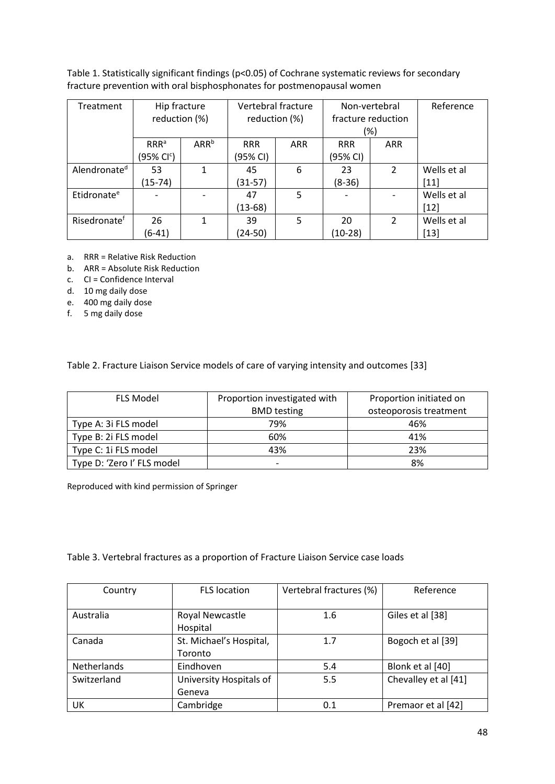Table 1. Statistically significant findings (p<0.05) of Cochrane systematic reviews for secondary fracture prevention with oral bisphosphonates for postmenopausal women

| Treatment                | Hip fracture<br>reduction (%) |                  | Vertebral fracture<br>reduction (%) |            | Non-vertebral<br>fracture reduction |                | Reference   |
|--------------------------|-------------------------------|------------------|-------------------------------------|------------|-------------------------------------|----------------|-------------|
|                          |                               |                  |                                     |            | (%)                                 |                |             |
|                          | RRR <sup>a</sup>              | ARR <sup>b</sup> | <b>RRR</b>                          | <b>ARR</b> | <b>RRR</b>                          | <b>ARR</b>     |             |
|                          | (95% Cl <sup>c</sup> )        |                  | (95% CI)                            |            | (95% CI)                            |                |             |
| Alendronate <sup>d</sup> | 53                            | 1                | 45                                  | 6          | 23                                  | $\overline{2}$ | Wells et al |
|                          | (15-74)                       |                  | $(31-57)$                           |            | $(8-36)$                            |                | $[11]$      |
| Etidronate <sup>e</sup>  |                               |                  | 47                                  | 5          |                                     |                | Wells et al |
|                          |                               |                  | $(13-68)$                           |            |                                     |                | $[12]$      |
| Risedronate <sup>f</sup> | 26                            | 1                | 39                                  | 5          | 20                                  | $\mathcal{P}$  | Wells et al |
|                          | $(6-41)$                      |                  | (24-50)                             |            | $(10-28)$                           |                | $[13]$      |

- a. RRR = Relative Risk Reduction
- b. ARR = Absolute Risk Reduction
- c. CI = Confidence Interval
- d. 10 mg daily dose
- e. 400 mg daily dose
- f. 5 mg daily dose

Table 2. Fracture Liaison Service models of care of varying intensity and outcomes [33]

| <b>FLS Model</b>           | Proportion investigated with | Proportion initiated on |  |
|----------------------------|------------------------------|-------------------------|--|
|                            | <b>BMD</b> testing           | osteoporosis treatment  |  |
| Type A: 3i FLS model       | 79%                          | 46%                     |  |
| Type B: 2i FLS model       | 60%                          | 41%                     |  |
| Type C: 1i FLS model       | 43%                          | 23%                     |  |
| Type D: 'Zero I' FLS model | $\overline{\phantom{0}}$     | 8%                      |  |

Reproduced with kind permission of Springer

Table 3. Vertebral fractures as a proportion of Fracture Liaison Service case loads

| Country     | <b>FLS</b> location                | Vertebral fractures (%) | Reference            |
|-------------|------------------------------------|-------------------------|----------------------|
| Australia   | Royal Newcastle<br>Hospital        | 1.6                     | Giles et al [38]     |
| Canada      | St. Michael's Hospital,<br>Toronto | 1.7                     | Bogoch et al [39]    |
| Netherlands | Eindhoven                          | 5.4                     | Blonk et al [40]     |
| Switzerland | University Hospitals of<br>Geneva  | 5.5                     | Chevalley et al [41] |
| UK          | Cambridge                          | 0.1                     | Premaor et al [42]   |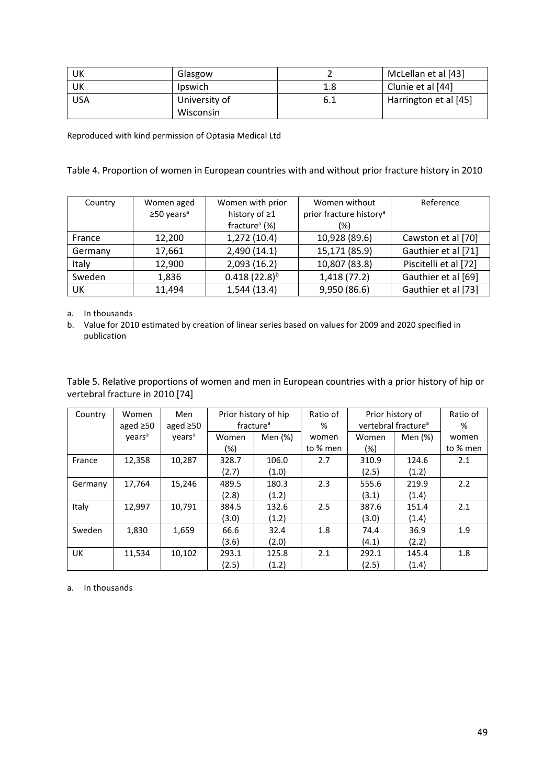| UK         | Glasgow                    |     | McLellan et al [43]   |
|------------|----------------------------|-----|-----------------------|
| UK         | <b>Ipswich</b>             | 1.8 | Clunie et al [44]     |
| <b>USA</b> | University of<br>Wisconsin | 6.1 | Harrington et al [45] |

Reproduced with kind permission of Optasia Medical Ltd

#### Table 4. Proportion of women in European countries with and without prior fracture history in 2010

| Country | Women aged                   | Women with prior          | Women without                       | Reference             |
|---------|------------------------------|---------------------------|-------------------------------------|-----------------------|
|         | $\geq$ 50 years <sup>a</sup> | history of ≥1             | prior fracture history <sup>a</sup> |                       |
|         |                              | fracture <sup>a</sup> (%) | (%)                                 |                       |
| France  | 12,200                       | 1,272 (10.4)              | 10,928 (89.6)                       | Cawston et al [70]    |
| Germany | 17,661                       | 2,490(14.1)               | 15,171 (85.9)                       | Gauthier et al [71]   |
| Italy   | 12,900                       | 2,093(16.2)               | 10,807 (83.8)                       | Piscitelli et al [72] |
| Sweden  | 1,836                        | $0.418(22.8)^{b}$         | 1,418 (77.2)                        | Gauthier et al [69]   |
| UK      | 11,494                       | 1,544(13.4)               | 9,950 (86.6)                        | Gauthier et al [73]   |

a. In thousands

b. Value for 2010 estimated by creation of linear series based on values for 2009 and 2020 specified in publication

Table 5. Relative proportions of women and men in European countries with a prior history of hip or vertebral fracture in 2010 [74]

| Country   | Women              | Men                |       | Prior history of hip  | Ratio of |        | Prior history of                | Ratio of |
|-----------|--------------------|--------------------|-------|-----------------------|----------|--------|---------------------------------|----------|
|           | aged $\geq 50$     | aged $\geq 50$     |       | fracture <sup>a</sup> | %        |        | vertebral fracture <sup>a</sup> | %        |
|           | years <sup>a</sup> | years <sup>a</sup> | Women | Men (%)               | women    | Women  | Men (%)                         | women    |
|           |                    |                    | (%)   |                       | to % men | $(\%)$ |                                 | to % men |
| France    | 12,358             | 10,287             | 328.7 | 106.0                 | 2.7      | 310.9  | 124.6                           | 2.1      |
|           |                    |                    | (2.7) | (1.0)                 |          | (2.5)  | (1.2)                           |          |
| Germany   | 17,764             | 15,246             | 489.5 | 180.3                 | 2.3      | 555.6  | 219.9                           | 2.2      |
|           |                    |                    | (2.8) | (1.2)                 |          | (3.1)  | (1.4)                           |          |
| Italy     | 12,997             | 10,791             | 384.5 | 132.6                 | 2.5      | 387.6  | 151.4                           | 2.1      |
|           |                    |                    | (3.0) | (1.2)                 |          | (3.0)  | (1.4)                           |          |
| Sweden    | 1,830              | 1,659              | 66.6  | 32.4                  | 1.8      | 74.4   | 36.9                            | 1.9      |
|           |                    |                    | (3.6) | (2.0)                 |          | (4.1)  | (2.2)                           |          |
| <b>UK</b> | 11,534             | 10,102             | 293.1 | 125.8                 | 2.1      | 292.1  | 145.4                           | 1.8      |
|           |                    |                    | (2.5) | (1.2)                 |          | (2.5)  | (1.4)                           |          |

a. In thousands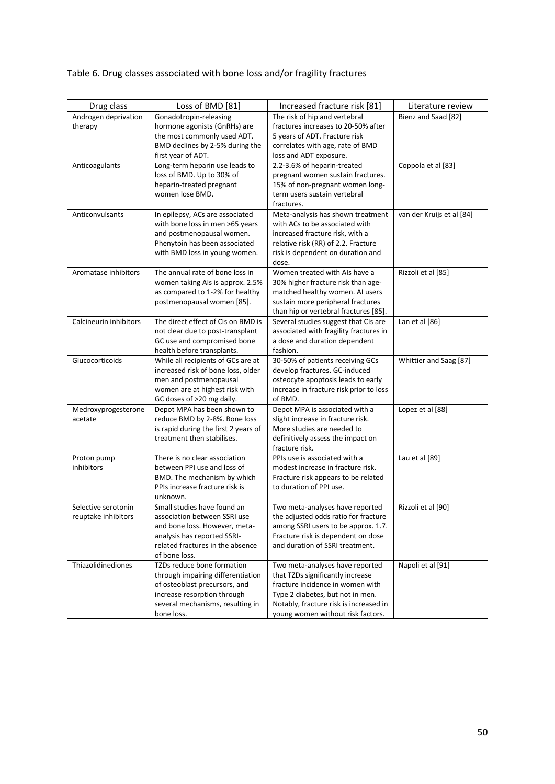# Table 6. Drug classes associated with bone loss and/or fragility fractures

| Drug class             | Loss of BMD [81]                            | Increased fracture risk [81]            | Literature review         |
|------------------------|---------------------------------------------|-----------------------------------------|---------------------------|
| Androgen deprivation   | Gonadotropin-releasing                      | The risk of hip and vertebral           | Bienz and Saad [82]       |
| therapy                | hormone agonists (GnRHs) are                | fractures increases to 20-50% after     |                           |
|                        | the most commonly used ADT.                 | 5 years of ADT. Fracture risk           |                           |
|                        | BMD declines by 2-5% during the             | correlates with age, rate of BMD        |                           |
|                        | first year of ADT.                          | loss and ADT exposure.                  |                           |
| Anticoagulants         | Long-term heparin use leads to              | 2.2-3.6% of heparin-treated             | Coppola et al [83]        |
|                        | loss of BMD. Up to 30% of                   | pregnant women sustain fractures.       |                           |
|                        | heparin-treated pregnant                    | 15% of non-pregnant women long-         |                           |
|                        | women lose BMD.                             | term users sustain vertebral            |                           |
|                        |                                             | fractures.                              |                           |
| Anticonvulsants        | In epilepsy, ACs are associated             | Meta-analysis has shown treatment       | van der Kruijs et al [84] |
|                        | with bone loss in men >65 years             | with ACs to be associated with          |                           |
|                        | and postmenopausal women.                   | increased fracture risk, with a         |                           |
|                        | Phenytoin has been associated               | relative risk (RR) of 2.2. Fracture     |                           |
|                        | with BMD loss in young women.               | risk is dependent on duration and       |                           |
|                        |                                             | dose.                                   |                           |
| Aromatase inhibitors   | The annual rate of bone loss in             | Women treated with AIs have a           | Rizzoli et al [85]        |
|                        | women taking Als is approx. 2.5%            | 30% higher fracture risk than age-      |                           |
|                        | as compared to 1-2% for healthy             | matched healthy women. AI users         |                           |
|                        | postmenopausal women [85].                  | sustain more peripheral fractures       |                           |
|                        |                                             | than hip or vertebral fractures [85].   |                           |
| Calcineurin inhibitors | The direct effect of CIs on BMD is          | Several studies suggest that CIs are    | Lan et al [86]            |
|                        | not clear due to post-transplant            | associated with fragility fractures in  |                           |
|                        | GC use and compromised bone                 | a dose and duration dependent           |                           |
|                        | health before transplants.                  | fashion.                                |                           |
| Glucocorticoids        | While all recipients of GCs are at          | 30-50% of patients receiving GCs        | Whittier and Saag [87]    |
|                        | increased risk of bone loss, older          | develop fractures. GC-induced           |                           |
|                        | men and postmenopausal                      | osteocyte apoptosis leads to early      |                           |
|                        | women are at highest risk with              | increase in fracture risk prior to loss |                           |
|                        | GC doses of >20 mg daily.                   | of BMD.                                 |                           |
| Medroxyprogesterone    | Depot MPA has been shown to                 | Depot MPA is associated with a          | Lopez et al [88]          |
| acetate                | reduce BMD by 2-8%. Bone loss               | slight increase in fracture risk.       |                           |
|                        | is rapid during the first 2 years of        | More studies are needed to              |                           |
|                        | treatment then stabilises.                  | definitively assess the impact on       |                           |
|                        |                                             | fracture risk.                          |                           |
| Proton pump            | There is no clear association               | PPIs use is associated with a           | Lau et al [89]            |
| inhibitors             | between PPI use and loss of                 | modest increase in fracture risk.       |                           |
|                        | BMD. The mechanism by which                 | Fracture risk appears to be related     |                           |
|                        | PPIs increase fracture risk is              | to duration of PPI use.                 |                           |
|                        | unknown.                                    |                                         |                           |
| Selective serotonin    | Small studies have found an                 | Two meta-analyses have reported         | Rizzoli et al [90]        |
| reuptake inhibitors    | association between SSRI use                | the adjusted odds ratio for fracture    |                           |
|                        | and bone loss. However, meta-               | among SSRI users to be approx. 1.7.     |                           |
|                        | analysis has reported SSRI-                 | Fracture risk is dependent on dose      |                           |
|                        | related fractures in the absence            | and duration of SSRI treatment.         |                           |
|                        | of bone loss.<br>TZDs reduce bone formation |                                         |                           |
| Thiazolidinediones     |                                             | Two meta-analyses have reported         | Napoli et al [91]         |
|                        | through impairing differentiation           | that TZDs significantly increase        |                           |
|                        | of osteoblast precursors, and               | fracture incidence in women with        |                           |
|                        | increase resorption through                 | Type 2 diabetes, but not in men.        |                           |
|                        | several mechanisms, resulting in            | Notably, fracture risk is increased in  |                           |
|                        | bone loss.                                  | young women without risk factors.       |                           |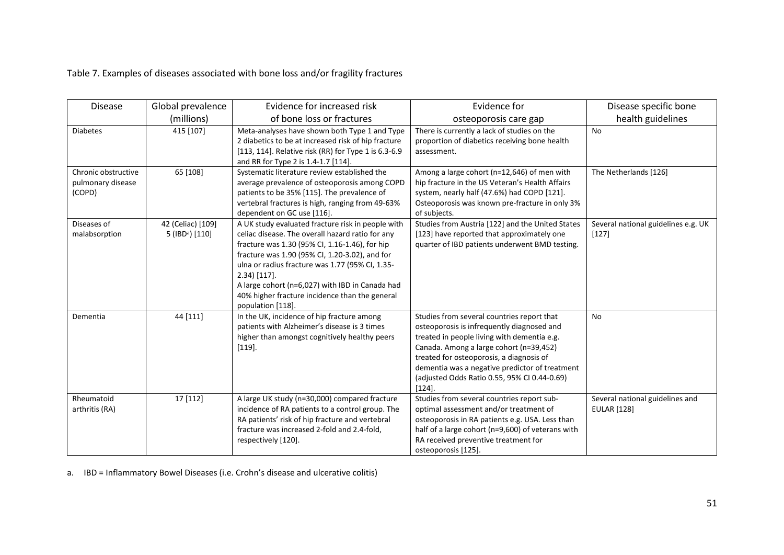Table 7. Examples of diseases associated with bone loss and/or fragility fractures

| <b>Disease</b>                                     | Global prevalence                                | Evidence for increased risk                                                                                                                                                                                                                                                                                                                                                                               | Evidence for                                                                                                                                                                                                                                                                                                                                  | Disease specific bone                                 |
|----------------------------------------------------|--------------------------------------------------|-----------------------------------------------------------------------------------------------------------------------------------------------------------------------------------------------------------------------------------------------------------------------------------------------------------------------------------------------------------------------------------------------------------|-----------------------------------------------------------------------------------------------------------------------------------------------------------------------------------------------------------------------------------------------------------------------------------------------------------------------------------------------|-------------------------------------------------------|
|                                                    | (millions)                                       | of bone loss or fractures                                                                                                                                                                                                                                                                                                                                                                                 | osteoporosis care gap                                                                                                                                                                                                                                                                                                                         | health guidelines                                     |
| <b>Diabetes</b>                                    | 415 [107]                                        | Meta-analyses have shown both Type 1 and Type<br>2 diabetics to be at increased risk of hip fracture<br>[113, 114]. Relative risk (RR) for Type 1 is 6.3-6.9<br>and RR for Type 2 is 1.4-1.7 [114].                                                                                                                                                                                                       | There is currently a lack of studies on the<br>proportion of diabetics receiving bone health<br>assessment.                                                                                                                                                                                                                                   | <b>No</b>                                             |
| Chronic obstructive<br>pulmonary disease<br>(COPD) | 65 [108]                                         | Systematic literature review established the<br>average prevalence of osteoporosis among COPD<br>patients to be 35% [115]. The prevalence of<br>vertebral fractures is high, ranging from 49-63%<br>dependent on GC use [116].                                                                                                                                                                            | Among a large cohort (n=12,646) of men with<br>hip fracture in the US Veteran's Health Affairs<br>system, nearly half (47.6%) had COPD [121].<br>Osteoporosis was known pre-fracture in only 3%<br>of subjects.                                                                                                                               | The Netherlands [126]                                 |
| Diseases of<br>malabsorption                       | 42 (Celiac) [109]<br>5 (IBD <sup>a</sup> ) [110] | A UK study evaluated fracture risk in people with<br>celiac disease. The overall hazard ratio for any<br>fracture was 1.30 (95% CI, 1.16-1.46), for hip<br>fracture was 1.90 (95% CI, 1.20-3.02), and for<br>ulna or radius fracture was 1.77 (95% CI, 1.35-<br>$2.34$ ) [117].<br>A large cohort (n=6,027) with IBD in Canada had<br>40% higher fracture incidence than the general<br>population [118]. | Studies from Austria [122] and the United States<br>[123] have reported that approximately one<br>quarter of IBD patients underwent BMD testing.                                                                                                                                                                                              | Several national guidelines e.g. UK<br>$[127]$        |
| Dementia                                           | 44 [111]                                         | In the UK, incidence of hip fracture among<br>patients with Alzheimer's disease is 3 times<br>higher than amongst cognitively healthy peers<br>$[119]$ .                                                                                                                                                                                                                                                  | Studies from several countries report that<br>osteoporosis is infrequently diagnosed and<br>treated in people living with dementia e.g.<br>Canada. Among a large cohort (n=39,452)<br>treated for osteoporosis, a diagnosis of<br>dementia was a negative predictor of treatment<br>(adjusted Odds Ratio 0.55, 95% CI 0.44-0.69)<br>$[124]$ . | <b>No</b>                                             |
| Rheumatoid<br>arthritis (RA)                       | 17 [112]                                         | A large UK study (n=30,000) compared fracture<br>incidence of RA patients to a control group. The<br>RA patients' risk of hip fracture and vertebral<br>fracture was increased 2-fold and 2.4-fold,<br>respectively [120].                                                                                                                                                                                | Studies from several countries report sub-<br>optimal assessment and/or treatment of<br>osteoporosis in RA patients e.g. USA. Less than<br>half of a large cohort (n=9,600) of veterans with<br>RA received preventive treatment for<br>osteoporosis [125].                                                                                   | Several national guidelines and<br><b>EULAR</b> [128] |

a. IBD = Inflammatory Bowel Diseases (i.e. Crohn's disease and ulcerative colitis)